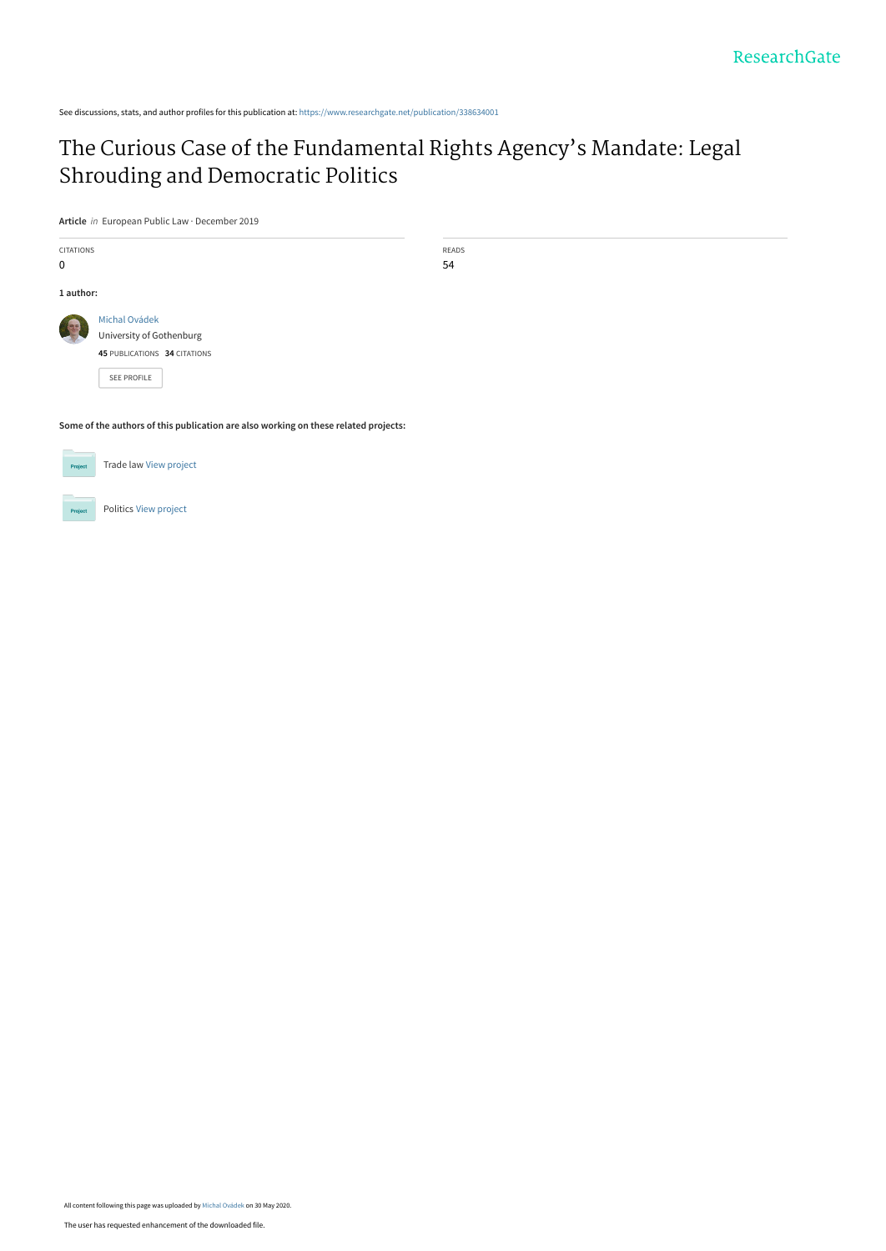See discussions, stats, and author profiles for this publication at: [https://www.researchgate.net/publication/338634001](https://www.researchgate.net/publication/338634001_The_Curious_Case_of_the_Fundamental_Rights_Agency%27s_Mandate_Legal_Shrouding_and_Democratic_Politics?enrichId=rgreq-2e6762b664a195286e56b540497c4b83-XXX&enrichSource=Y292ZXJQYWdlOzMzODYzNDAwMTtBUzo4OTY5OTY5MzYyNjU3MjhAMTU5MDg3MjE0MzM5OA%3D%3D&el=1_x_2&_esc=publicationCoverPdf)

# [The Curious Case of the Fundamental Rights Agency's Mandate: Legal](https://www.researchgate.net/publication/338634001_The_Curious_Case_of_the_Fundamental_Rights_Agency%27s_Mandate_Legal_Shrouding_and_Democratic_Politics?enrichId=rgreq-2e6762b664a195286e56b540497c4b83-XXX&enrichSource=Y292ZXJQYWdlOzMzODYzNDAwMTtBUzo4OTY5OTY5MzYyNjU3MjhAMTU5MDg3MjE0MzM5OA%3D%3D&el=1_x_3&_esc=publicationCoverPdf) Shrouding and Democratic Politics

READS 54

**Article** in European Public Law · December 2019

| <b>CITATIONS</b> |                              |
|------------------|------------------------------|
| n                |                              |
|                  |                              |
| 1 author:        |                              |
|                  | Michal Ovádek                |
|                  | University of Gothenburg     |
|                  | 45 PUBLICATIONS 34 CITATIONS |
|                  | <b>SFF PROFILE</b>           |

**Some of the authors of this publication are also working on these related projects:**

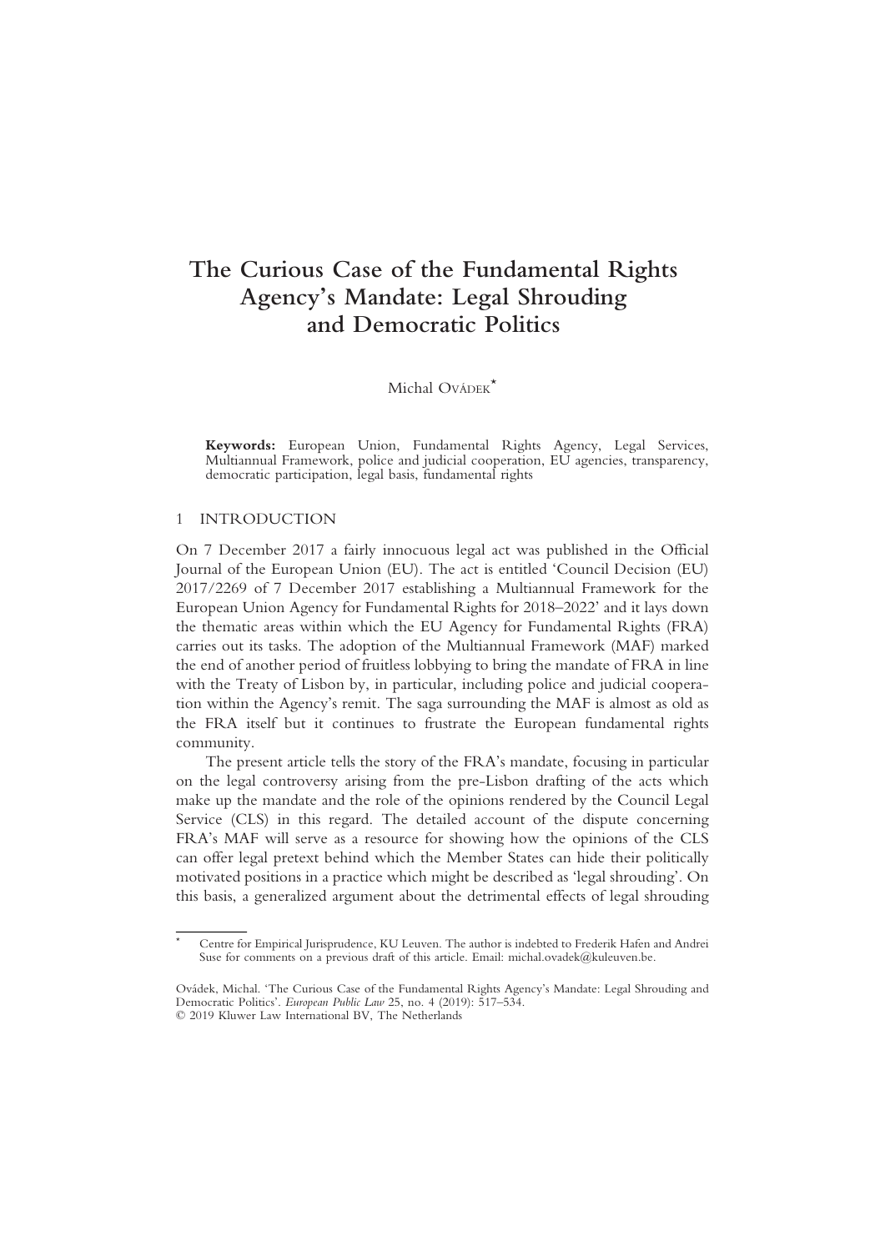## The Curious Case of the Fundamental Rights Agency's Mandate: Legal Shrouding and Democratic Politics

## Michal Ovádek<sup>\*</sup>

Keywords: European Union, Fundamental Rights Agency, Legal Services, Multiannual Framework, police and judicial cooperation, EU agencies, transparency, democratic participation, legal basis, fundamental rights

#### 1 INTRODUCTION

On 7 December 2017 a fairly innocuous legal act was published in the Official Journal of the European Union (EU). The act is entitled 'Council Decision (EU) 2017/2269 of 7 December 2017 establishing a Multiannual Framework for the European Union Agency for Fundamental Rights for 2018–2022' and it lays down the thematic areas within which the EU Agency for Fundamental Rights (FRA) carries out its tasks. The adoption of the Multiannual Framework (MAF) marked the end of another period of fruitless lobbying to bring the mandate of FRA in line with the Treaty of Lisbon by, in particular, including police and judicial cooperation within the Agency's remit. The saga surrounding the MAF is almost as old as the FRA itself but it continues to frustrate the European fundamental rights community.

The present article tells the story of the FRA's mandate, focusing in particular on the legal controversy arising from the pre-Lisbon drafting of the acts which make up the mandate and the role of the opinions rendered by the Council Legal Service (CLS) in this regard. The detailed account of the dispute concerning FRA's MAF will serve as a resource for showing how the opinions of the CLS can offer legal pretext behind which the Member States can hide their politically motivated positions in a practice which might be described as 'legal shrouding'. On this basis, a generalized argument about the detrimental effects of legal shrouding

Centre for Empirical Jurisprudence, KU Leuven. The author is indebted to Frederik Hafen and Andrei Suse for comments on a previous draft of this article. Email: michal.ovadek@kuleuven.be.

Ovádek, Michal. 'The Curious Case of the Fundamental Rights Agency's Mandate: Legal Shrouding and Democratic Politics'. European Public Law 25, no. 4 (2019): 517–534. © 2019 Kluwer Law International BV, The Netherlands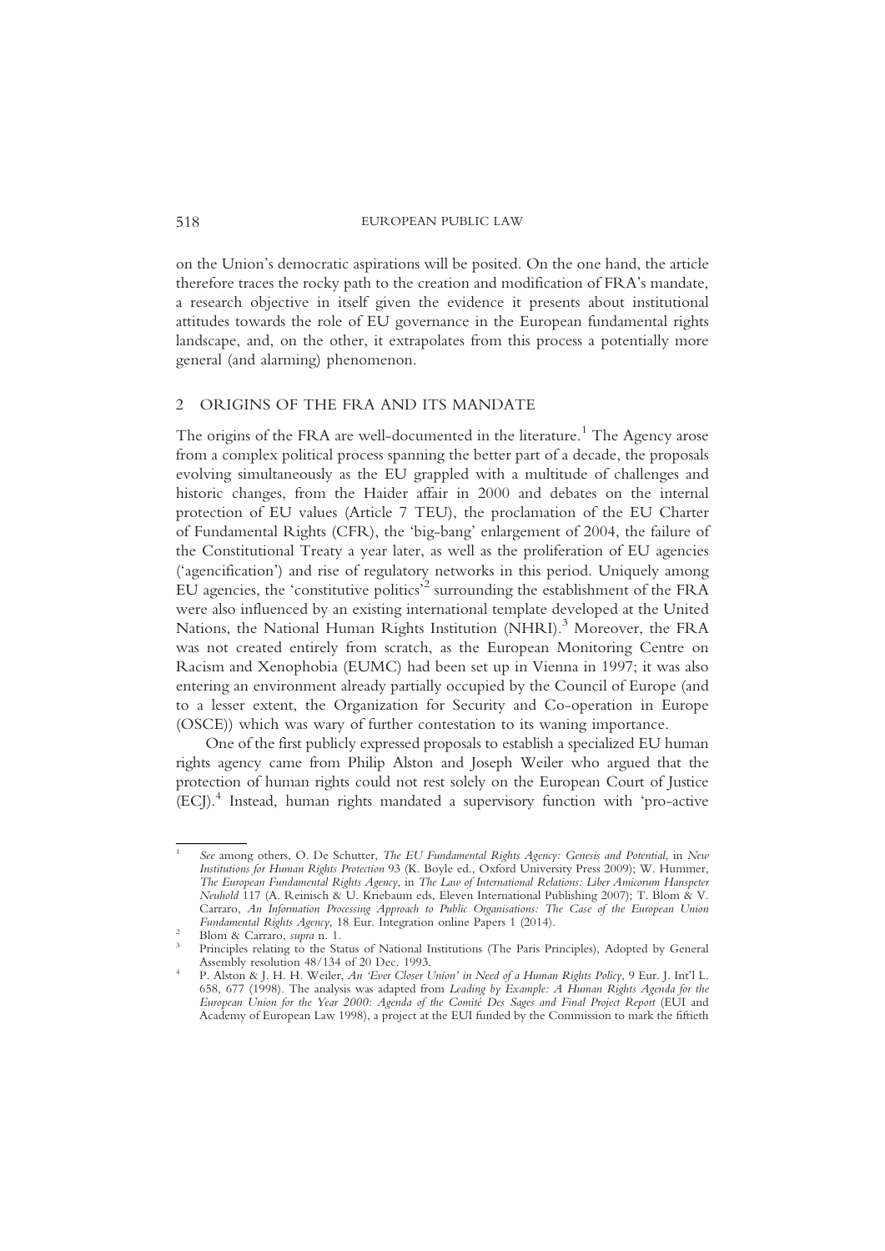on the Union's democratic aspirations will be posited. On the one hand, the article therefore traces the rocky path to the creation and modification of FRA's mandate, a research objective in itself given the evidence it presents about institutional attitudes towards the role of EU governance in the European fundamental rights landscape, and, on the other, it extrapolates from this process a potentially more general (and alarming) phenomenon.

### 2 ORIGINS OF THE FRA AND ITS MANDATE

The origins of the FRA are well-documented in the literature.<sup>1</sup> The Agency arose from a complex political process spanning the better part of a decade, the proposals evolving simultaneously as the EU grappled with a multitude of challenges and historic changes, from the Haider affair in 2000 and debates on the internal protection of EU values (Article 7 TEU), the proclamation of the EU Charter of Fundamental Rights (CFR), the 'big-bang' enlargement of 2004, the failure of the Constitutional Treaty a year later, as well as the proliferation of EU agencies ('agencification') and rise of regulatory networks in this period. Uniquely among EU agencies, the 'constitutive politics' <sup>2</sup> surrounding the establishment of the FRA were also influenced by an existing international template developed at the United Nations, the National Human Rights Institution (NHRI).<sup>3</sup> Moreover, the FRA was not created entirely from scratch, as the European Monitoring Centre on Racism and Xenophobia (EUMC) had been set up in Vienna in 1997; it was also entering an environment already partially occupied by the Council of Europe (and to a lesser extent, the Organization for Security and Co-operation in Europe (OSCE)) which was wary of further contestation to its waning importance.

One of the first publicly expressed proposals to establish a specialized EU human rights agency came from Philip Alston and Joseph Weiler who argued that the protection of human rights could not rest solely on the European Court of Justice (ECJ).4 Instead, human rights mandated a supervisory function with 'pro-active

See among others, O. De Schutter, The EU Fundamental Rights Agency: Genesis and Potential, in New Institutions for Human Rights Protection 93 (K. Boyle ed., Oxford University Press 2009); W. Hummer, The European Fundamental Rights Agency, in The Law of International Relations: Liber Amicorum Hanspeter Neuhold 117 (A. Reinisch & U. Kriebaum eds, Eleven International Publishing 2007); T. Blom & V. Carraro, An Information Processing Approach to Public Organisations: The Case of the European Union Fundamental Rights Agency, 18 Eur. Integration online Papers 1 (2014).

Fundamental Rights Agency, 18 Eur. Integration online Papers 1 (2014).<br>
3 Blom & Carraro, supra n. 1.<br>
2 Principles relating to the Status of National Institutions (The Paris Principles), Adopted by General<br>
2 Assembly res

Assembly resolution 48/134 of 20 Dec. 1993.<br><sup>4</sup> P. Alston & J. H. H. Weiler, *An 'Ever Closer Union' in Need of a Human Rights Policy*, 9 Eur. J. Int'l L. 658, 677 (1998). The analysis was adapted from Leading by Example: A Human Rights Agenda for the European Union for the Year 2000: Agenda of the Comité Des Sages and Final Project Report (EUI and Academy of European Law 1998), a project at the EUI funded by the Commission to mark the fiftieth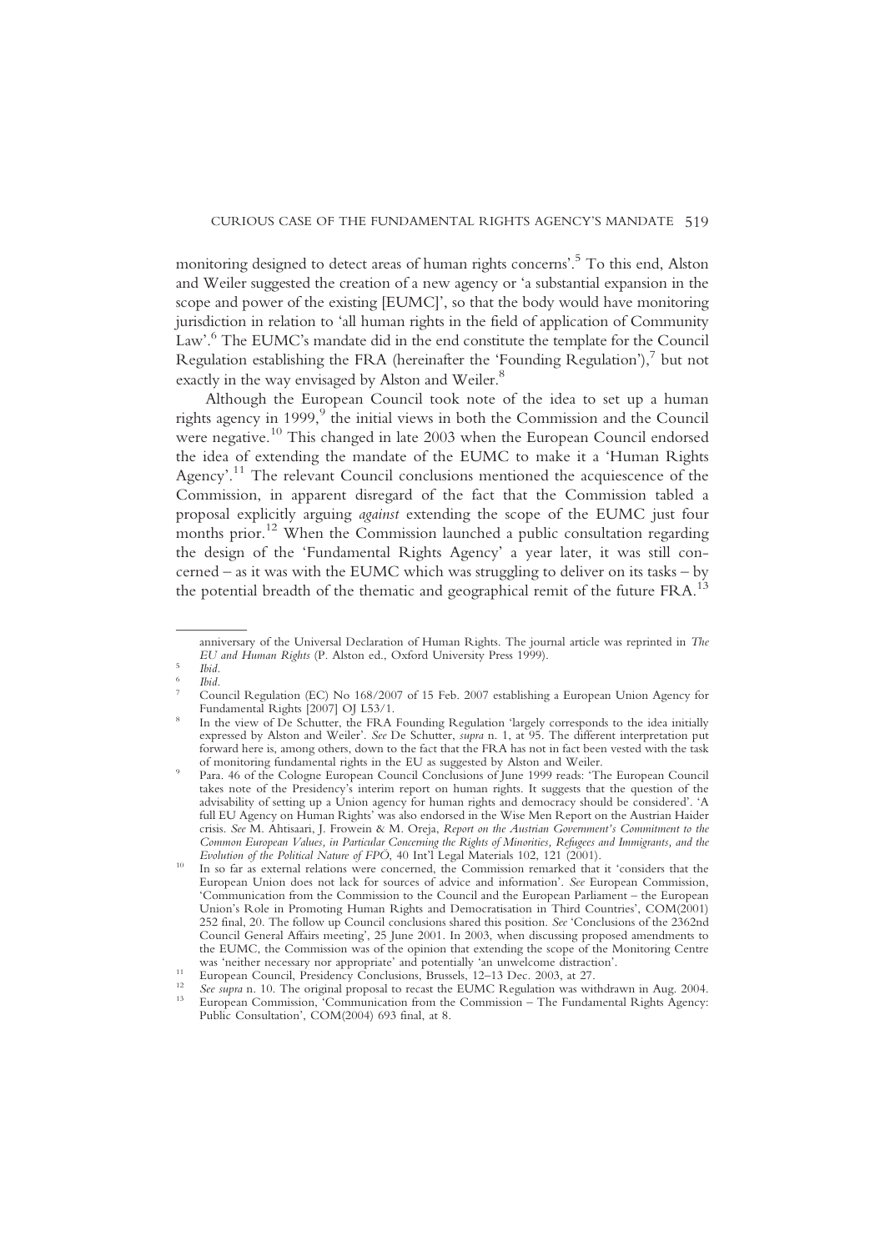monitoring designed to detect areas of human rights concerns'. <sup>5</sup> To this end, Alston and Weiler suggested the creation of a new agency or 'a substantial expansion in the scope and power of the existing [EUMC]', so that the body would have monitoring jurisdiction in relation to 'all human rights in the field of application of Community Law'. <sup>6</sup> The EUMC's mandate did in the end constitute the template for the Council Regulation establishing the FRA (hereinafter the 'Founding Regulation'), $\frac{7}{1}$  but not exactly in the way envisaged by Alston and Weiler.<sup>8</sup>

Although the European Council took note of the idea to set up a human rights agency in  $1999$ , the initial views in both the Commission and the Council were negative.<sup>10</sup> This changed in late 2003 when the European Council endorsed the idea of extending the mandate of the EUMC to make it a 'Human Rights Agency'.<sup>11</sup> The relevant Council conclusions mentioned the acquiescence of the Commission, in apparent disregard of the fact that the Commission tabled a proposal explicitly arguing against extending the scope of the EUMC just four months prior.<sup>12</sup> When the Commission launched a public consultation regarding the design of the 'Fundamental Rights Agency' a year later, it was still concerned – as it was with the EUMC which was struggling to deliver on its tasks – by the potential breadth of the thematic and geographical remit of the future FRA.<sup>13</sup>

anniversary of the Universal Declaration of Human Rights. The journal article was reprinted in The EU and Human Rights (P. Alston ed., Oxford University Press 1999).

EU and Human Rights (P. Alston ed., Oxford University Press 1999).<br>
6 Ibid.<br>
7 Council Regulation (EC) No 168/2007 of 15 Feb. 2007 establishing a European Union Agency for<br>
Fundamental Rights [2007] OJ L53/1.

In the view of De Schutter, the FRA Founding Regulation 'largely corresponds to the idea initially expressed by Alston and Weiler'. See De Schutter, supra n. 1, at 95. The different interpretation put forward here is, among others, down to the fact that the FRA has not in fact been vested with the task

Para. 46 of the Cologne European Council Conclusions of June 1999 reads: 'The European Council takes note of the Presidency's interim report on human rights. It suggests that the question of the advisability of setting up a Union agency for human rights and democracy should be considered'. 'A full EU Agency on Human Rights' was also endorsed in the Wise Men Report on the Austrian Haider crisis. See M. Ahtisaari, J. Frowein & M. Oreja, Report on the Austrian Government's Commitment to the Common European Values, in Particular Concerning the Rights of Minorities, Refugees and Immigrants, and the

<sup>&</sup>lt;sup>10</sup> In so far as external relations were concerned, the Commission remarked that it 'considers that the European Union does not lack for sources of advice and information'. See European Commission, 'Communication from the Commission to the Council and the European Parliament – the European Union's Role in Promoting Human Rights and Democratisation in Third Countries', COM(2001) 252 final, 20. The follow up Council conclusions shared this position. See 'Conclusions of the 2362nd Council General Affairs meeting', 25 June 2001. In 2003, when discussing proposed amendments to the EUMC, the Commission was of the opinion that extending the scope of the Monitoring Centre was 'neither necessary nor appropriate' and potentially 'an unwelcome distraction'.

<sup>&</sup>lt;sup>11</sup> European Council, Presidency Conclusions, Brussels, 12–13 Dec. 2003, at 27.<br><sup>12</sup> *See supra* n. 10. The original proposal to recast the EUMC Regulation was withdrawn in Aug. 2004.<br><sup>13</sup> European Commission, 'Communicat Public Consultation', COM(2004) 693 final, at 8.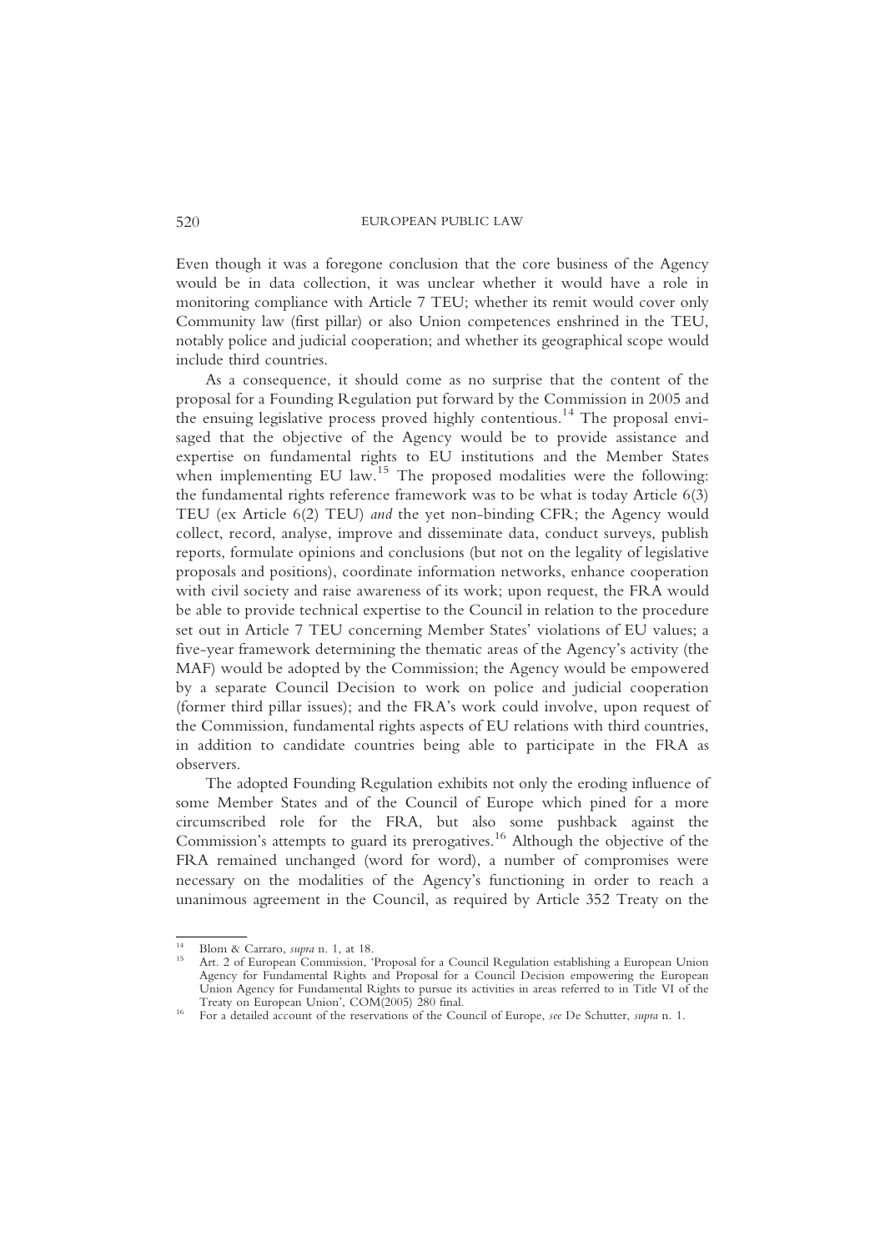Even though it was a foregone conclusion that the core business of the Agency would be in data collection, it was unclear whether it would have a role in monitoring compliance with Article 7 TEU; whether its remit would cover only Community law (first pillar) or also Union competences enshrined in the TEU, notably police and judicial cooperation; and whether its geographical scope would include third countries.

As a consequence, it should come as no surprise that the content of the proposal for a Founding Regulation put forward by the Commission in 2005 and the ensuing legislative process proved highly contentious.<sup>14</sup> The proposal envisaged that the objective of the Agency would be to provide assistance and expertise on fundamental rights to EU institutions and the Member States when implementing EU law.<sup>15</sup> The proposed modalities were the following: the fundamental rights reference framework was to be what is today Article 6(3) TEU (ex Article 6(2) TEU) and the yet non-binding CFR; the Agency would collect, record, analyse, improve and disseminate data, conduct surveys, publish reports, formulate opinions and conclusions (but not on the legality of legislative proposals and positions), coordinate information networks, enhance cooperation with civil society and raise awareness of its work; upon request, the FRA would be able to provide technical expertise to the Council in relation to the procedure set out in Article 7 TEU concerning Member States' violations of EU values; a five-year framework determining the thematic areas of the Agency's activity (the MAF) would be adopted by the Commission; the Agency would be empowered by a separate Council Decision to work on police and judicial cooperation (former third pillar issues); and the FRA's work could involve, upon request of the Commission, fundamental rights aspects of EU relations with third countries, in addition to candidate countries being able to participate in the FRA as observers.

The adopted Founding Regulation exhibits not only the eroding influence of some Member States and of the Council of Europe which pined for a more circumscribed role for the FRA, but also some pushback against the Commission's attempts to guard its prerogatives.<sup>16</sup> Although the objective of the FRA remained unchanged (word for word), a number of compromises were necessary on the modalities of the Agency's functioning in order to reach a unanimous agreement in the Council, as required by Article 352 Treaty on the

<sup>&</sup>lt;sup>14</sup> Blom & Carraro, *supra* n. 1, at 18.<br><sup>15</sup> Art. 2 of European Commission, 'Proposal for a Council Regulation establishing a European Union Agency for Fundamental Rights and Proposal for a Council Decision empowering the European Union Agency for Fundamental Rights to pursue its activities in areas referred to in Title VI of the Treaty on European Union', COM(2005) 280 final.

<sup>&</sup>lt;sup>16</sup> For a detailed account of the reservations of the Council of Europe, see De Schutter, supra n. 1.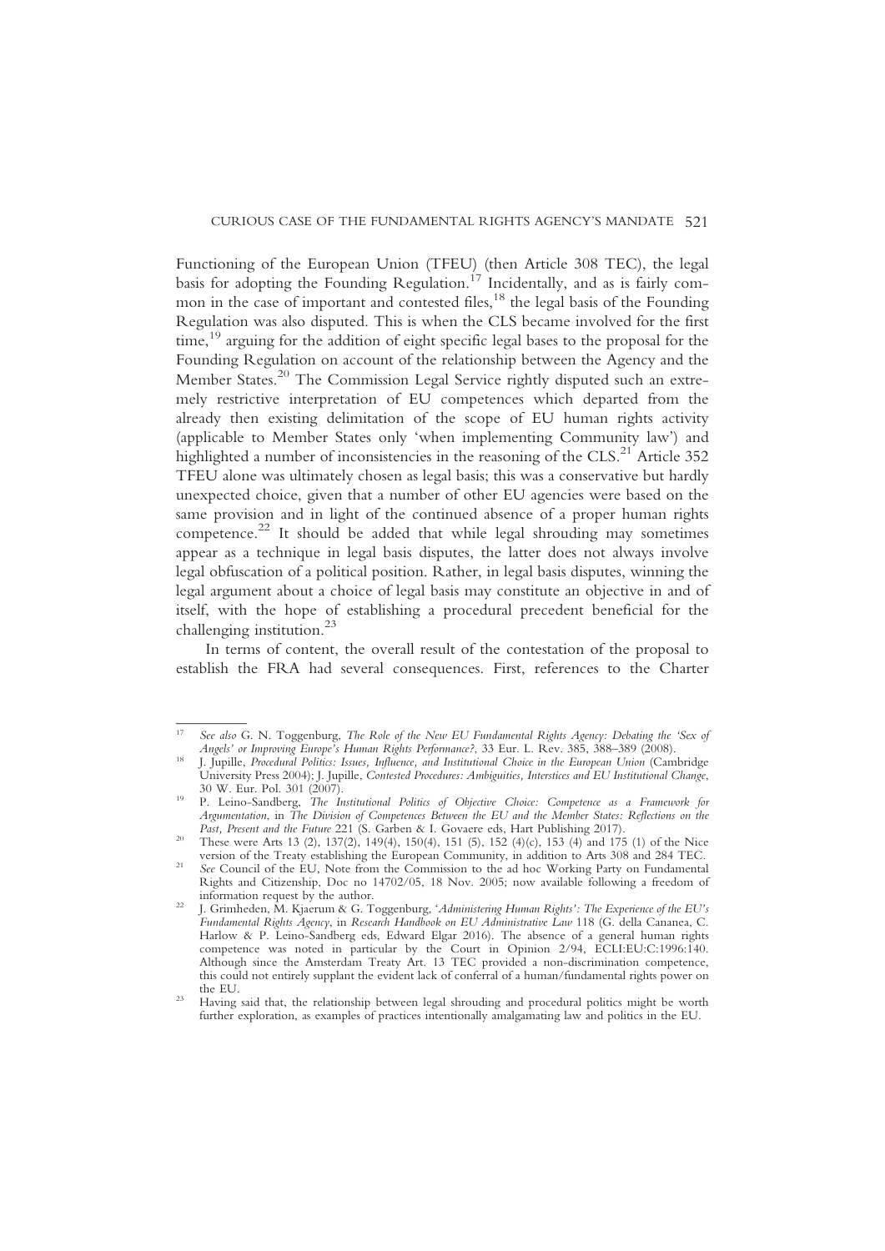Functioning of the European Union (TFEU) (then Article 308 TEC), the legal basis for adopting the Founding Regulation.<sup>17</sup> Incidentally, and as is fairly common in the case of important and contested files,  $^{18}$  the legal basis of the Founding Regulation was also disputed. This is when the CLS became involved for the first time,<sup>19</sup> arguing for the addition of eight specific legal bases to the proposal for the Founding Regulation on account of the relationship between the Agency and the Member States.<sup>20</sup> The Commission Legal Service rightly disputed such an extremely restrictive interpretation of EU competences which departed from the already then existing delimitation of the scope of EU human rights activity (applicable to Member States only 'when implementing Community law') and highlighted a number of inconsistencies in the reasoning of the CLS.<sup>21</sup> Article 352 TFEU alone was ultimately chosen as legal basis; this was a conservative but hardly unexpected choice, given that a number of other EU agencies were based on the same provision and in light of the continued absence of a proper human rights competence.<sup>22</sup> It should be added that while legal shrouding may sometimes appear as a technique in legal basis disputes, the latter does not always involve legal obfuscation of a political position. Rather, in legal basis disputes, winning the legal argument about a choice of legal basis may constitute an objective in and of itself, with the hope of establishing a procedural precedent beneficial for the challenging institution.<sup>23</sup>

In terms of content, the overall result of the contestation of the proposal to establish the FRA had several consequences. First, references to the Charter

<sup>&</sup>lt;sup>17</sup> See also G. N. Toggenburg, *The Role of the New EU Fundamental Rights Agency: Debating the 'Sex of Angels' or Improving Europe's Human Rights Performance?, 33 Eur. L. Rev. 385, 388–389 (2008).* 

Angels' or Improving Europe's Human Rights Performance?, 33 Eur. L. Peter. 385, 388–389 (2008).<br>18 J. Jupille, Procedural Politics: Issues, Influence, and Institutional Choice in the European Union (Cambridge University Press 2004); J. Jupille, Contested Procedures: Ambiguities, Interstices and EU Institutional Change, 30 W. Eur. Pol. 301 (2007). 30 W. Eur. Pol. 301 (2007). <sup>19</sup> P. Leino-Sandberg, The Institutional Politics of Objective Choice: Competence as a Framework for

Argumentation, in The Division of Competences Between the EU and the Member States: Reflections on the

Past, Present and the Future 221 (S. Garben & I. Govaere eds, Hart Publishing 2017).<br><sup>20</sup> These were Arts 13 (2), 137(2), 149(4), 150(4), 151 (5), 152 (4)(c), 153 (4) and 175 (1) of the Nice version of the Treaty establish

<sup>&</sup>lt;sup>21</sup> See Council of the EU, Note from the Commission to the ad hoc Working Party on Fundamental Rights and Citizenship, Doc no 14702/05, 18 Nov. 2005; now available following a freedom of

<sup>&</sup>lt;sup>22</sup> J. Grimheden, M. Kjaerum & G. Toggenburg, 'Administering Human Rights': The Experience of the EU's Fundamental Rights Agency, in Research Handbook on EU Administrative Law 118 (G. della Cananea, C. Harlow & P. Leino-Sandberg eds, Edward Elgar 2016). The absence of a general human rights competence was noted in particular by the Court in Opinion 2/94, ECLI:EU:C:1996:140. Although since the Amsterdam Treaty Art. 13 TEC provided a non-discrimination competence, this could not entirely supplant the evident lack of conferral of a human/fundamental rights power on the EU.<br><sup>23</sup> Having said that, the relationship between legal shrouding and procedural politics might be worth

further exploration, as examples of practices intentionally amalgamating law and politics in the EU.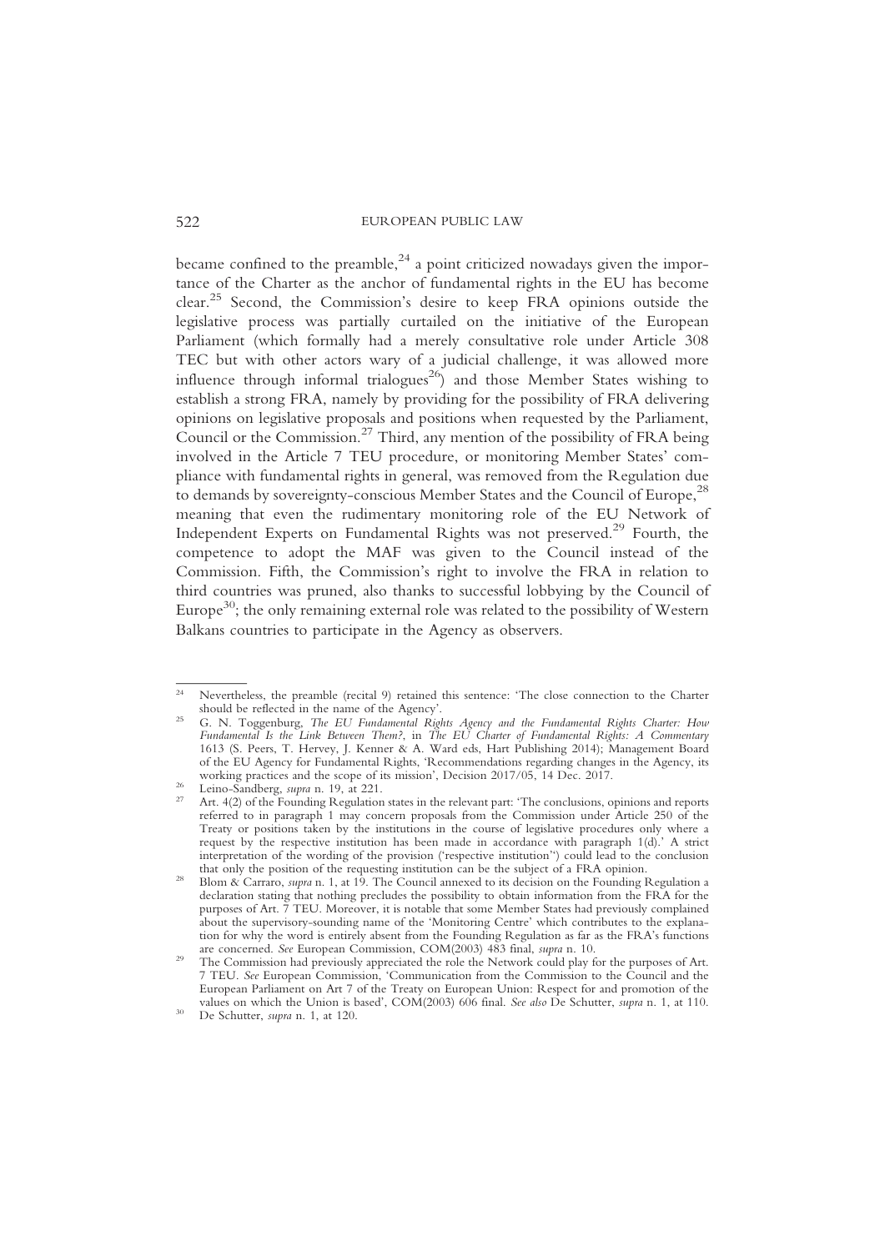became confined to the preamble, $24$  a point criticized nowadays given the importance of the Charter as the anchor of fundamental rights in the EU has become clear.<sup>25</sup> Second, the Commission's desire to keep FRA opinions outside the legislative process was partially curtailed on the initiative of the European Parliament (which formally had a merely consultative role under Article 308 TEC but with other actors wary of a judicial challenge, it was allowed more influence through informal trialogues<sup>26</sup>) and those Member States wishing to establish a strong FRA, namely by providing for the possibility of FRA delivering opinions on legislative proposals and positions when requested by the Parliament, Council or the Commission.<sup>27</sup> Third, any mention of the possibility of FRA being involved in the Article 7 TEU procedure, or monitoring Member States' compliance with fundamental rights in general, was removed from the Regulation due to demands by sovereignty-conscious Member States and the Council of Europe,<sup>28</sup> meaning that even the rudimentary monitoring role of the EU Network of Independent Experts on Fundamental Rights was not preserved.<sup>29</sup> Fourth, the competence to adopt the MAF was given to the Council instead of the Commission. Fifth, the Commission's right to involve the FRA in relation to third countries was pruned, also thanks to successful lobbying by the Council of Europe<sup>30</sup>; the only remaining external role was related to the possibility of Western Balkans countries to participate in the Agency as observers.

<sup>&</sup>lt;sup>24</sup> Nevertheless, the preamble (recital 9) retained this sentence: 'The close connection to the Charter should be reflected in the name of the Agency'.

<sup>&</sup>lt;sup>25</sup> G. N. Toggenburg, The EU Fundamental Rights Agency and the Fundamental Rights Charter: How Fundamental Is the Link Between Them?, in The EU Charter of Fundamental Rights: A Commentary 1613 (S. Peers, T. Hervey, J. Kenner & A. Ward eds, Hart Publishing 2014); Management Board of the EU Agency for Fundamental Rights, 'Recommendations regarding changes in the Agency, its

<sup>&</sup>lt;sup>26</sup> Leino-Sandberg, *supra* n. 19, at 221.<br><sup>27</sup> Art. 4(2) of the Founding Regulation states in the relevant part: 'The conclusions, opinions and reports referred to in paragraph 1 may concern proposals from the Commission under Article 250 of the Treaty or positions taken by the institutions in the course of legislative procedures only where a request by the respective institution has been made in accordance with paragraph 1(d).' A strict interpretation of the wording of the provision ('respective institution'') could lead to the conclusion

<sup>&</sup>lt;sup>28</sup> Blom  $\alpha$ <sup>28</sup> Carraro, *supra* n. 1, at 19. The Council annexed to its decision on the Founding Regulation a declaration stating that nothing precludes the possibility to obtain information from the FRA for the purposes of Art. 7 TEU. Moreover, it is notable that some Member States had previously complained about the supervisory-sounding name of the 'Monitoring Centre' which contributes to the explanation for why the word is entirely absent from the Founding Regulation as far as the FRA's functions are concerned. See European Commission, COM(2003) 483 final, *supra* n. 10.

<sup>&</sup>lt;sup>29</sup> The Commission had previously appreciated the role the Network could play for the purposes of Art. 7 TEU. See European Commission, 'Communication from the Commission to the Council and the European Parliament on Art 7 of the Treaty on European Union: Respect for and promotion of the values on which the Union is based',  $COM(2003)$  606 final. See also De Schutter, supra n. 1, at 110. De Schutter, supra n. 1, at 120.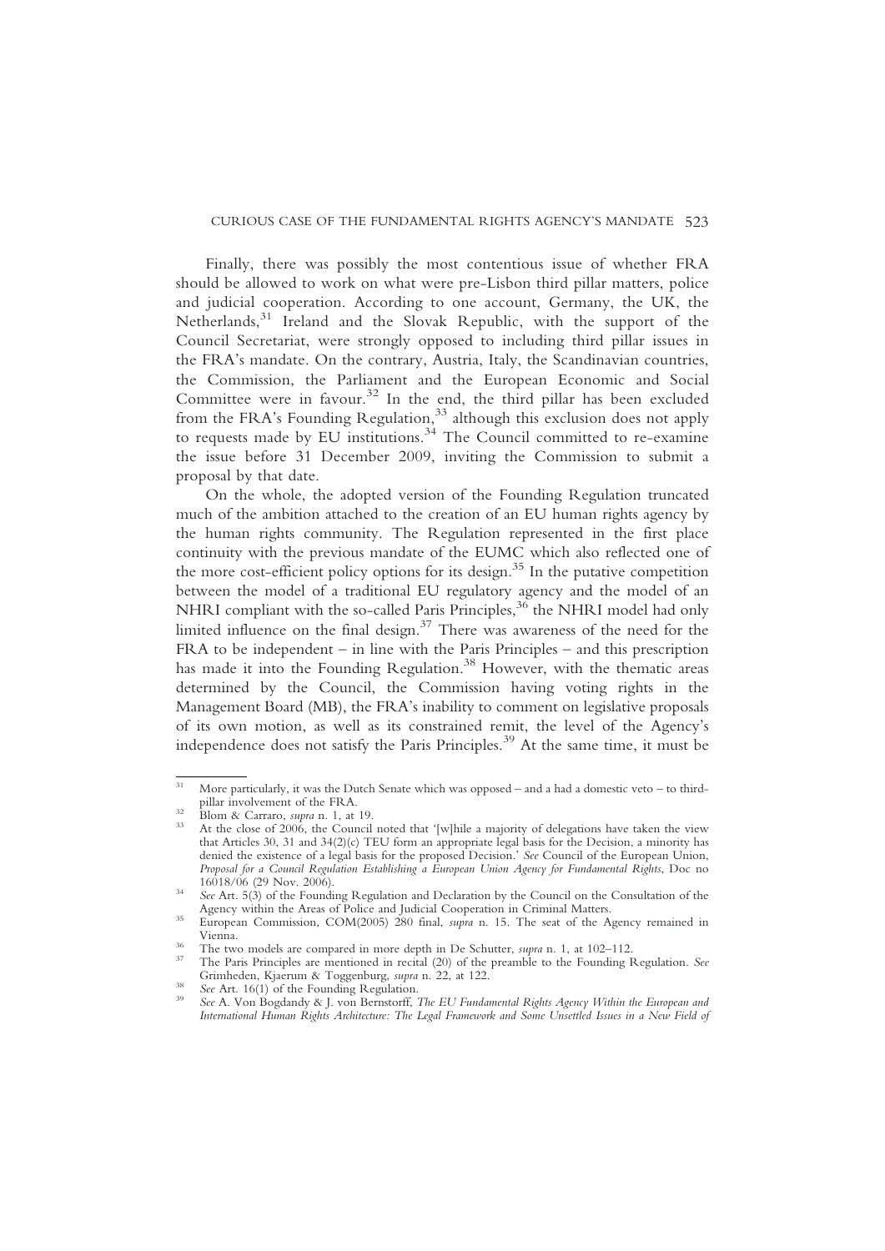#### CURIOUS CASE OF THE FUNDAMENTAL RIGHTS AGENCY'S MANDATE 523

Finally, there was possibly the most contentious issue of whether FRA should be allowed to work on what were pre-Lisbon third pillar matters, police and judicial cooperation. According to one account, Germany, the UK, the Netherlands,<sup>31</sup> Ireland and the Slovak Republic, with the support of the Council Secretariat, were strongly opposed to including third pillar issues in the FRA's mandate. On the contrary, Austria, Italy, the Scandinavian countries, the Commission, the Parliament and the European Economic and Social Committee were in favour.<sup>32</sup> In the end, the third pillar has been excluded from the FRA's Founding Regulation,<sup>33</sup> although this exclusion does not apply to requests made by EU institutions.<sup>34</sup> The Council committed to re-examine the issue before 31 December 2009, inviting the Commission to submit a proposal by that date.

On the whole, the adopted version of the Founding Regulation truncated much of the ambition attached to the creation of an EU human rights agency by the human rights community. The Regulation represented in the first place continuity with the previous mandate of the EUMC which also reflected one of the more cost-efficient policy options for its design. $35$  In the putative competition between the model of a traditional EU regulatory agency and the model of an NHRI compliant with the so-called Paris Principles,  $36$  the NHRI model had only limited influence on the final design. $37$  There was awareness of the need for the FRA to be independent – in line with the Paris Principles – and this prescription has made it into the Founding Regulation.<sup>38</sup> However, with the thematic areas determined by the Council, the Commission having voting rights in the Management Board (MB), the FRA's inability to comment on legislative proposals of its own motion, as well as its constrained remit, the level of the Agency's independence does not satisfy the Paris Principles.<sup>39</sup> At the same time, it must be

<sup>&</sup>lt;sup>31</sup> More particularly, it was the Dutch Senate which was opposed – and a had a domestic veto – to third-<br>pillar involvement of the FRA.

<sup>&</sup>lt;sup>32</sup> Blom & Carraro, *supra* n. 1, at 19.  $\frac{33}{100}$  At the close of 2006, the Council noted that '[w]hile a majority of delegations have taken the view that Articles 30, 31 and 34(2)(c) TEU form an appropriate legal basis for the Decision, a minority has denied the existence of a legal basis for the proposed Decision.' See Council of the European Union, Proposal for a Council Regulation Establishing a European Union Agency for Fundamental Rights, Doc no<br>16018/06 (29 Nov. 2006).

<sup>&</sup>lt;sup>34</sup> See Art. 5(3) of the Founding Regulation and Declaration by the Council on the Consultation of the Agency within the Areas of Police and Judicial Cooperation in Criminal Matters.

Agency minimal Matters. According to Police and Judicial Cooperation in Commission, COM(2005) 280 final, *supra* n. 15. The seat of the Agency remained in Vienna.

<sup>&</sup>lt;sup>36</sup> The two models are compared in more depth in De Schutter, *supra* n. 1, at 102–112.<br><sup>37</sup> The Paris Principles are mentioned in recital (20) of the preamble to the Founding Regulation. *See* Grimheden, Kjaerum & Togge

<sup>&</sup>lt;sup>38</sup> See Art. 16(1) of the Founding Regulation.<br><sup>39</sup> See A. Von Bogdandy & J. von Bernstorff, The EU Fundamental Rights Agency Within the European and International Human Rights Architecture: The Legal Framework and Some Unsettled Issues in a New Field of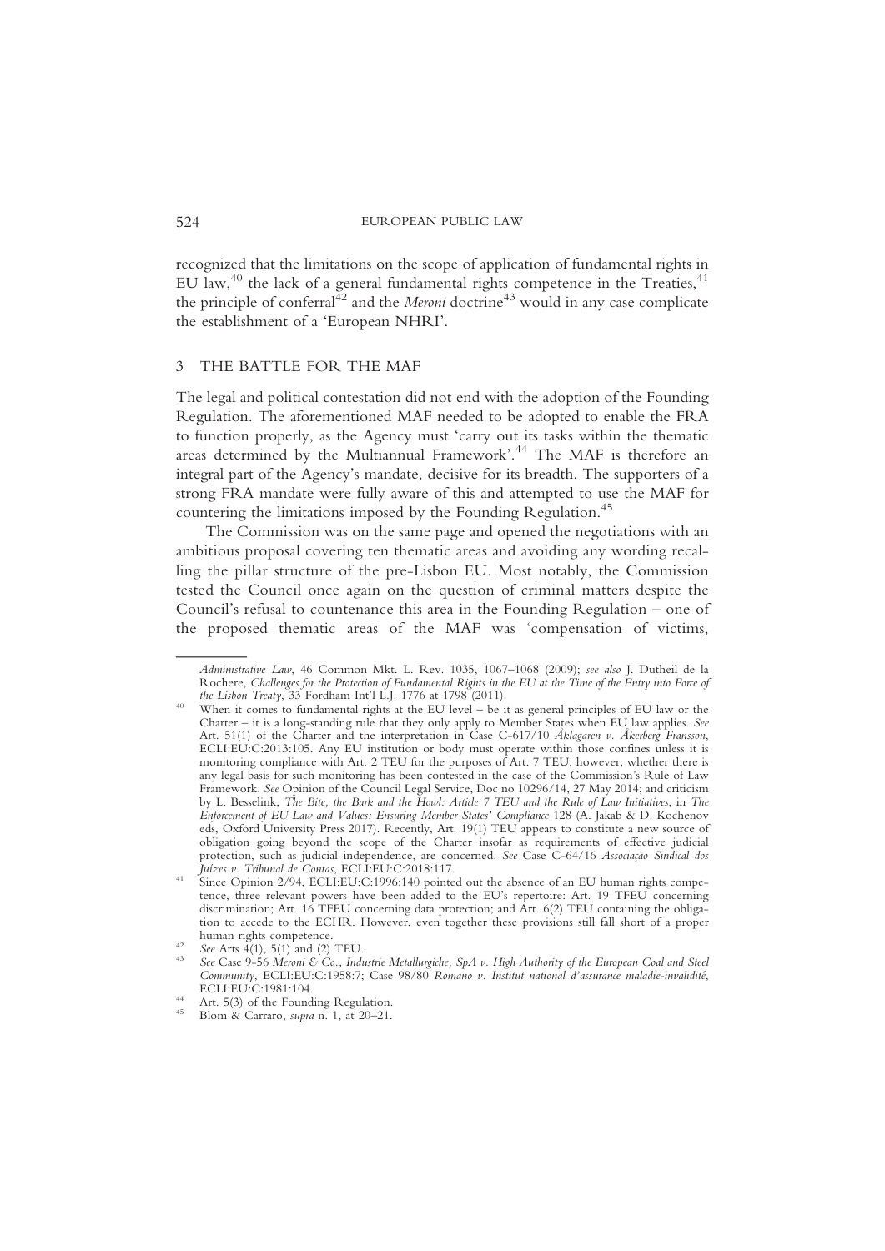recognized that the limitations on the scope of application of fundamental rights in EU law,<sup>40</sup> the lack of a general fundamental rights competence in the Treaties, $41$ the principle of conferral<sup> $42$ </sup> and the *Meroni* doctrine<sup>43</sup> would in any case complicate the establishment of a 'European NHRI'.

#### 3 THE BATTLE FOR THE MAF

The legal and political contestation did not end with the adoption of the Founding Regulation. The aforementioned MAF needed to be adopted to enable the FRA to function properly, as the Agency must 'carry out its tasks within the thematic areas determined by the Multiannual Framework'. <sup>44</sup> The MAF is therefore an integral part of the Agency's mandate, decisive for its breadth. The supporters of a strong FRA mandate were fully aware of this and attempted to use the MAF for countering the limitations imposed by the Founding Regulation.<sup>45</sup>

The Commission was on the same page and opened the negotiations with an ambitious proposal covering ten thematic areas and avoiding any wording recalling the pillar structure of the pre-Lisbon EU. Most notably, the Commission tested the Council once again on the question of criminal matters despite the Council's refusal to countenance this area in the Founding Regulation – one of the proposed thematic areas of the MAF was 'compensation of victims,

Administrative Law, 46 Common Mkt. L. Rev. 1035, 1067–1068 (2009); see also J. Dutheil de la Rochere, Challenges for the Protection of Fundamental Rights in the EU at the Time of the Entry into Force of<br>the Lisbon Treaty, 33 Fordham Int'l L.J. 1776 at 1798 (2011).

<sup>&</sup>lt;sup>40</sup> When it comes to fundamental rights at the EU level – be it as general principles of EU law or the Charter – it is a long-standing rule that they only apply to Member States when EU law applies. See Art. 51(1) of the Charter and the interpretation in Case C-617/10 Åklagaren v. Åkerberg Fransson, ECLI:EU:C:2013:105. Any EU institution or body must operate within those confines unless it is monitoring compliance with Art. 2 TEU for the purposes of Art. 7 TEU; however, whether there is any legal basis for such monitoring has been contested in the case of the Commission's Rule of Law Framework. See Opinion of the Council Legal Service, Doc no 10296/14, 27 May 2014; and criticism by L. Besselink, The Bite, the Bark and the Howl: Article 7 TEU and the Rule of Law Initiatives, in The Enforcement of EU Law and Values: Ensuring Member States' Compliance 128 (A. Jakab & D. Kochenov eds, Oxford University Press 2017). Recently, Art. 19(1) TEU appears to constitute a new source of obligation going beyond the scope of the Charter insofar as requirements of effective judicial protection, such as judicial independence, are concerned. See Case C-64/16 Associação Sindical dos Juízes v. Tribunal de Contas, ECLI:EU:C:2018:117. <sup>41</sup> Since Opinion 2/94, ECLI:EU:C:1996:140 pointed out the absence of an EU human rights compe-

tence, three relevant powers have been added to the EU's repertoire: Art. 19 TFEU concerning discrimination; Art. 16 TFEU concerning data protection; and Art. 6(2) TEU containing the obligation to accede to the ECHR. However, even together these provisions still fall short of a proper

<sup>&</sup>lt;sup>42</sup> See Arts  $4(1)$ , 5(1) and (2) TEU.<br><sup>43</sup> See Case 9-56 Meroni & Co., Industrie Metallurgiche, SpA v. High Authority of the European Coal and Steel Community, ECLI:EU:C:1958:7; Case 98/80 Romano v. Institut national d'assurance maladie-invalidité, ECLI:EU:C:1981:104.

<sup>&</sup>lt;sup>44</sup> Art. 5(3) of the Founding Regulation.<br><sup>45</sup> Blom & Carraro, *supra* n. 1, at 20–21.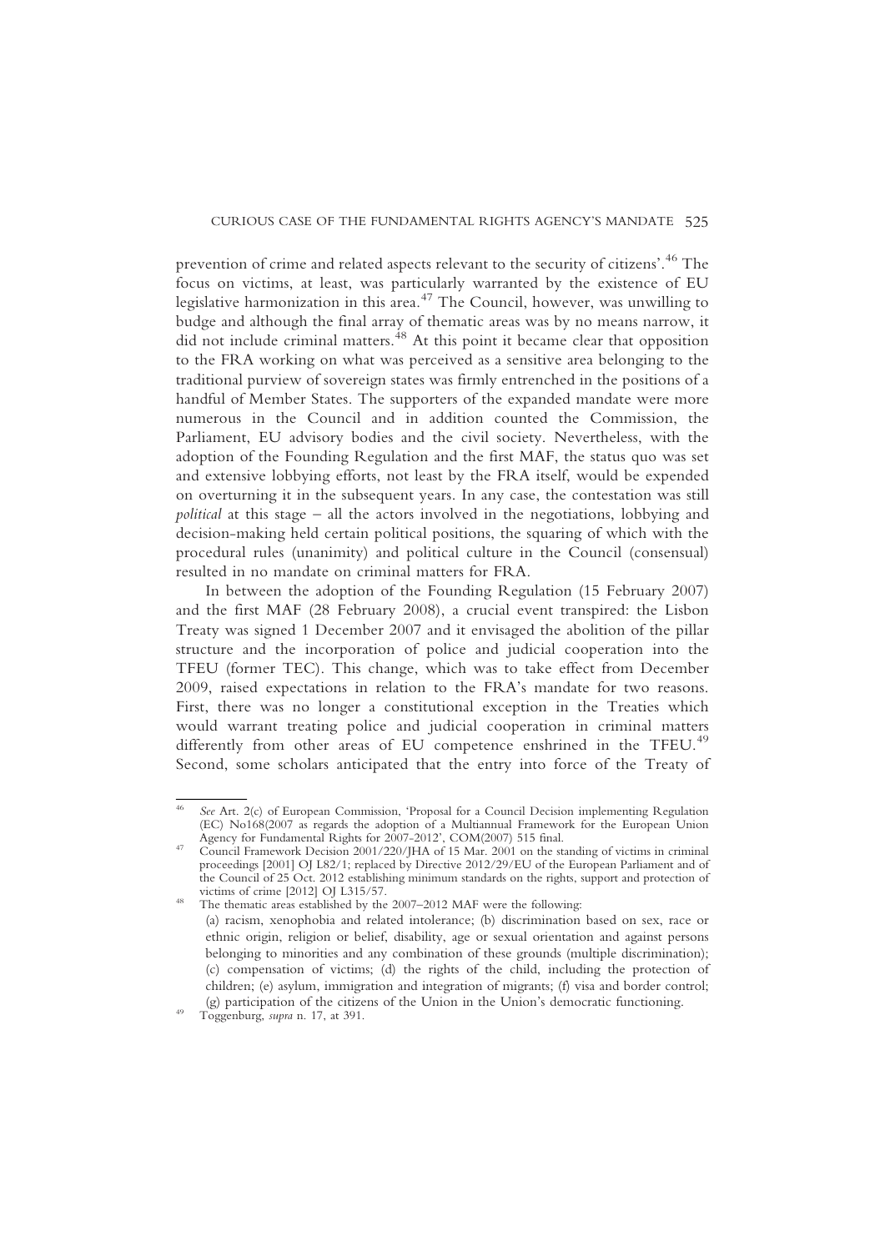prevention of crime and related aspects relevant to the security of citizens'. <sup>46</sup> The focus on victims, at least, was particularly warranted by the existence of EU legislative harmonization in this area.<sup>47</sup> The Council, however, was unwilling to budge and although the final array of thematic areas was by no means narrow, it  $\frac{6}{100}$  did not include criminal matters.<sup>48</sup> At this point it became clear that opposition to the FRA working on what was perceived as a sensitive area belonging to the traditional purview of sovereign states was firmly entrenched in the positions of a handful of Member States. The supporters of the expanded mandate were more numerous in the Council and in addition counted the Commission, the Parliament, EU advisory bodies and the civil society. Nevertheless, with the adoption of the Founding Regulation and the first MAF, the status quo was set and extensive lobbying efforts, not least by the FRA itself, would be expended on overturning it in the subsequent years. In any case, the contestation was still political at this stage – all the actors involved in the negotiations, lobbying and decision-making held certain political positions, the squaring of which with the procedural rules (unanimity) and political culture in the Council (consensual) resulted in no mandate on criminal matters for FRA.

In between the adoption of the Founding Regulation (15 February 2007) and the first MAF (28 February 2008), a crucial event transpired: the Lisbon Treaty was signed 1 December 2007 and it envisaged the abolition of the pillar structure and the incorporation of police and judicial cooperation into the TFEU (former TEC). This change, which was to take effect from December 2009, raised expectations in relation to the FRA's mandate for two reasons. First, there was no longer a constitutional exception in the Treaties which would warrant treating police and judicial cooperation in criminal matters differently from other areas of EU competence enshrined in the TFEU.<sup>49</sup> Second, some scholars anticipated that the entry into force of the Treaty of

<sup>&</sup>lt;sup>46</sup> See Art. 2(c) of European Commission, 'Proposal for a Council Decision implementing Regulation (EC) No168(2007 as regards the adoption of a Multiannual Framework for the European Union

Agency for Fundamental Rights for 2007-2012', COM(2007) 515 final.<br><sup>47</sup> Council Framework Decision 2001/220/JHA of 15 Mar. 2001 on the standing of victims in criminal proceedings [2001] OJ L82/1; replaced by Directive 2012/29/EU of the European Parliament and of the Council of 25 Oct. 2012 establishing minimum standards on the rights, support and protection of victims of crime [2012] OJ L315/57.

<sup>&</sup>lt;sup>48</sup> The thematic areas established by the 2007–2012 MAF were the following: (a) racism, xenophobia and related intolerance; (b) discrimination based on sex, race or ethnic origin, religion or belief, disability, age or sexual orientation and against persons belonging to minorities and any combination of these grounds (multiple discrimination); (c) compensation of victims; (d) the rights of the child, including the protection of children; (e) asylum, immigration and integration of migrants; (f) visa and border control; (g) participation of the citizens of the Union in the Union's democratic functioning. Toggenburg, supra n. 17, at 391.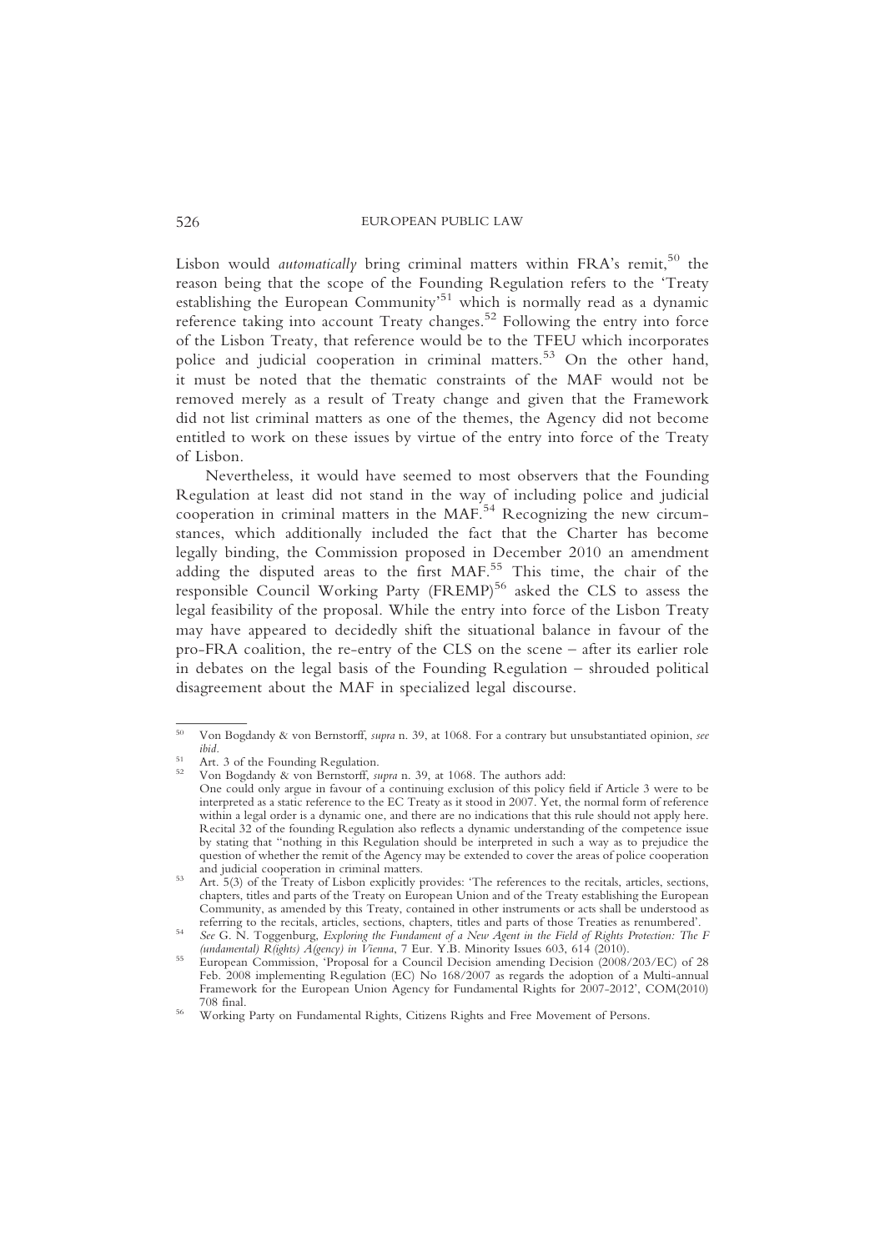Lisbon would *automatically* bring criminal matters within FRA's remit,  $50$  the reason being that the scope of the Founding Regulation refers to the 'Treaty establishing the European Community<sup>51</sup> which is normally read as a dynamic reference taking into account Treaty changes.<sup>52</sup> Following the entry into force of the Lisbon Treaty, that reference would be to the TFEU which incorporates police and judicial cooperation in criminal matters.<sup>53</sup> On the other hand, it must be noted that the thematic constraints of the MAF would not be removed merely as a result of Treaty change and given that the Framework did not list criminal matters as one of the themes, the Agency did not become entitled to work on these issues by virtue of the entry into force of the Treaty of Lisbon.

Nevertheless, it would have seemed to most observers that the Founding Regulation at least did not stand in the way of including police and judicial cooperation in criminal matters in the MAF.<sup>54</sup> Recognizing the new circumstances, which additionally included the fact that the Charter has become legally binding, the Commission proposed in December 2010 an amendment adding the disputed areas to the first MAF.<sup>55</sup> This time, the chair of the responsible Council Working Party (FREMP)<sup>56</sup> asked the CLS to assess the legal feasibility of the proposal. While the entry into force of the Lisbon Treaty may have appeared to decidedly shift the situational balance in favour of the pro-FRA coalition, the re-entry of the CLS on the scene – after its earlier role in debates on the legal basis of the Founding Regulation – shrouded political disagreement about the MAF in specialized legal discourse.

<sup>50</sup> Von Bogdandy & von Bernstorff, supra n. 39, at 1068. For a contrary but unsubstantiated opinion, see <sup>51</sup> Art. 3 of the Founding Regulation.<br><sup>52</sup> Von Bogdandy & von Bernstorff, *supra* n. 39, at 1068. The authors add:

One could only argue in favour of a continuing exclusion of this policy field if Article 3 were to be interpreted as a static reference to the EC Treaty as it stood in 2007. Yet, the normal form of reference within a legal order is a dynamic one, and there are no indications that this rule should not apply here. Recital 32 of the founding Regulation also reflects a dynamic understanding of the competence issue by stating that "nothing in this Regulation should be interpreted in such a way as to prejudice the question of whether the remit of the Agency may be extended to cover the areas of police cooperation and judicial cooperation in criminal matters.

<sup>&</sup>lt;sup>53</sup> Art. 5(3) of the Treaty of Lisbon explicitly provides: 'The references to the recitals, articles, sections, chapters, titles and parts of the Treaty on European Union and of the Treaty establishing the European Community, as amended by this Treaty, contained in other instruments or acts shall be understood as

See G. N. Toggenburg, Exploring the Fundament of a New Agent in the Field of Rights Protection: The F (undamental) R(ights) A(gency) in Vienna, 7 Eur. Y.B. Minority Issues 603, 614 (2010).<br>
55 European Commission, 'Proposal for a Council Decision amending Decision (2008/203/EC) of 28

Feb. 2008 implementing Regulation (EC) No 168/2007 as regards the adoption of a Multi-annual Framework for the European Union Agency for Fundamental Rights for 2007-2012', COM(2010)<br>708 final.

<sup>&</sup>lt;sup>56</sup> Working Party on Fundamental Rights, Citizens Rights and Free Movement of Persons.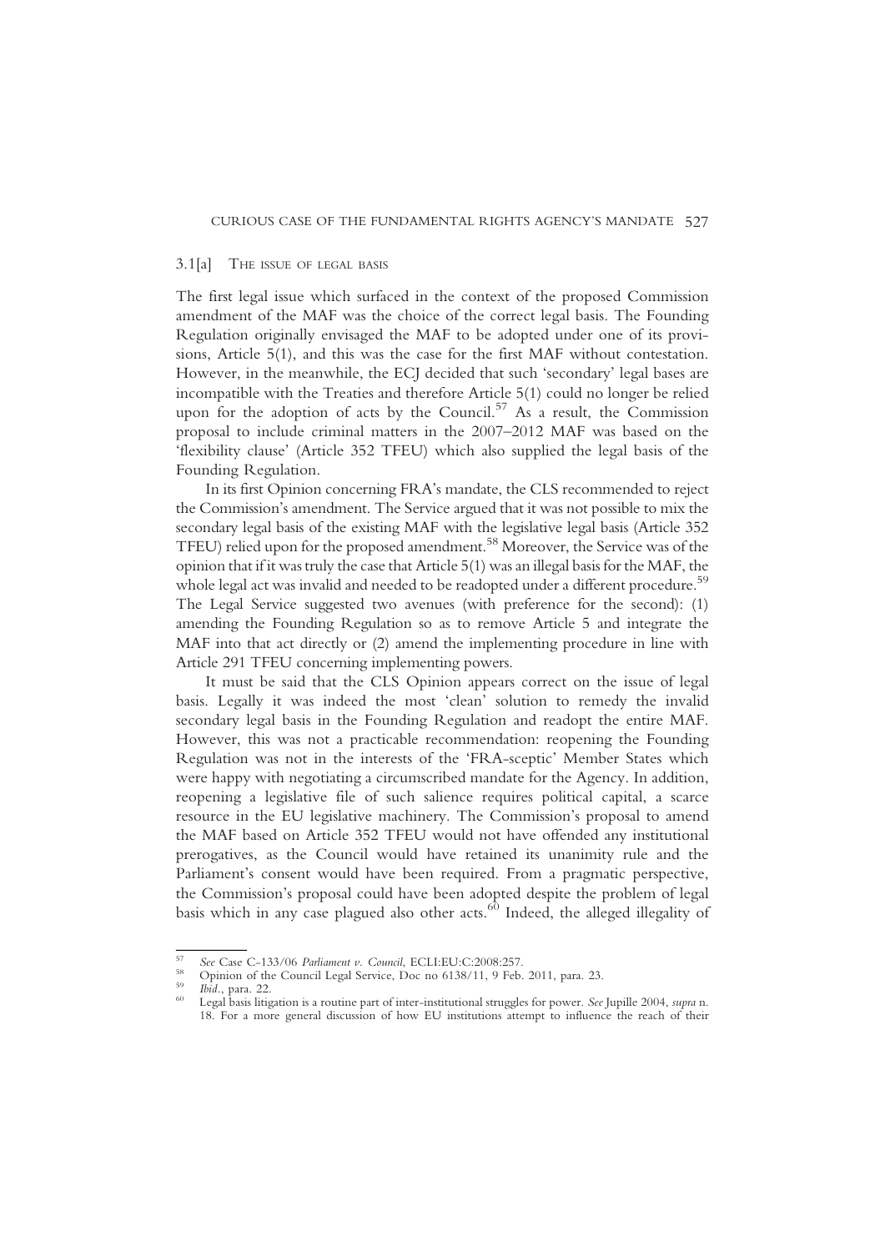#### 3.1[a] THE ISSUE OF LEGAL BASIS

The first legal issue which surfaced in the context of the proposed Commission amendment of the MAF was the choice of the correct legal basis. The Founding Regulation originally envisaged the MAF to be adopted under one of its provisions, Article 5(1), and this was the case for the first MAF without contestation. However, in the meanwhile, the ECJ decided that such 'secondary' legal bases are incompatible with the Treaties and therefore Article 5(1) could no longer be relied upon for the adoption of acts by the Council.<sup>57</sup> As a result, the Commission proposal to include criminal matters in the 2007–2012 MAF was based on the 'flexibility clause' (Article 352 TFEU) which also supplied the legal basis of the Founding Regulation.

In its first Opinion concerning FRA's mandate, the CLS recommended to reject the Commission's amendment. The Service argued that it was not possible to mix the secondary legal basis of the existing MAF with the legislative legal basis (Article 352 TFEU) relied upon for the proposed amendment.58 Moreover, the Service was of the opinion that if it was truly the case that Article 5(1) was an illegal basis for the MAF, the whole legal act was invalid and needed to be readopted under a different procedure.<sup>59</sup> The Legal Service suggested two avenues (with preference for the second): (1) amending the Founding Regulation so as to remove Article 5 and integrate the MAF into that act directly or (2) amend the implementing procedure in line with Article 291 TFEU concerning implementing powers.

It must be said that the CLS Opinion appears correct on the issue of legal basis. Legally it was indeed the most 'clean' solution to remedy the invalid secondary legal basis in the Founding Regulation and readopt the entire MAF. However, this was not a practicable recommendation: reopening the Founding Regulation was not in the interests of the 'FRA-sceptic' Member States which were happy with negotiating a circumscribed mandate for the Agency. In addition, reopening a legislative file of such salience requires political capital, a scarce resource in the EU legislative machinery. The Commission's proposal to amend the MAF based on Article 352 TFEU would not have offended any institutional prerogatives, as the Council would have retained its unanimity rule and the Parliament's consent would have been required. From a pragmatic perspective, the Commission's proposal could have been adopted despite the problem of legal basis which in any case plagued also other acts.<sup>60</sup> Indeed, the alleged illegality of

<sup>&</sup>lt;sup>57</sup> See Case C-133/06 Parliament v. Council, ECLI:EU:C:2008:257.<br><sup>58</sup> Opinion of the Council Legal Service, Doc no 6138/11, 9 Feb. 2011, para. 23.<br><sup>59</sup> Ibid., para. 22.<br><sup>60</sup> Legal basis litigation is a routine part of in 18. For a more general discussion of how EU institutions attempt to influence the reach of their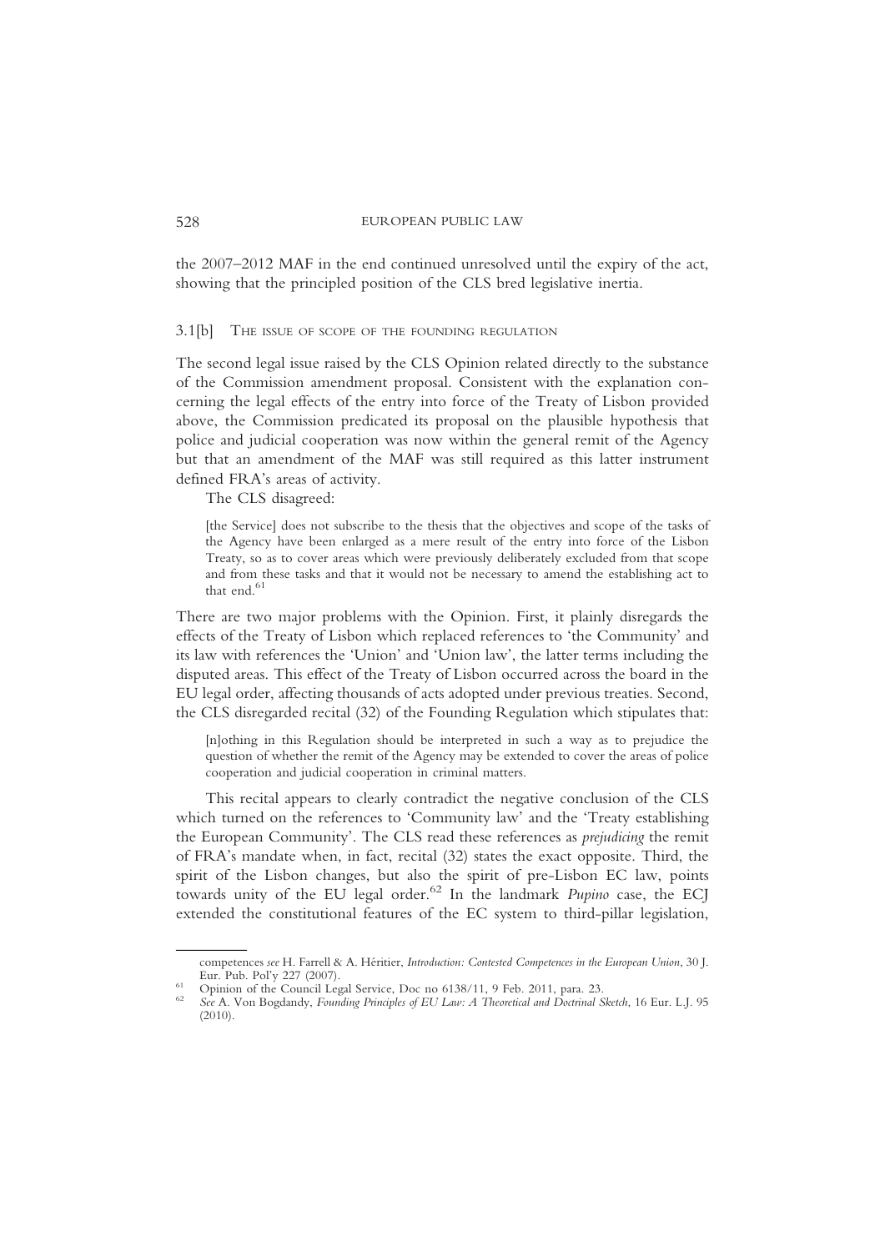the 2007–2012 MAF in the end continued unresolved until the expiry of the act, showing that the principled position of the CLS bred legislative inertia.

#### 3.1[b] THE ISSUE OF SCOPE OF THE FOUNDING REGULATION

The second legal issue raised by the CLS Opinion related directly to the substance of the Commission amendment proposal. Consistent with the explanation concerning the legal effects of the entry into force of the Treaty of Lisbon provided above, the Commission predicated its proposal on the plausible hypothesis that police and judicial cooperation was now within the general remit of the Agency but that an amendment of the MAF was still required as this latter instrument defined FRA's areas of activity.

The CLS disagreed:

[the Service] does not subscribe to the thesis that the objectives and scope of the tasks of the Agency have been enlarged as a mere result of the entry into force of the Lisbon Treaty, so as to cover areas which were previously deliberately excluded from that scope and from these tasks and that it would not be necessary to amend the establishing act to that end.<sup>61</sup>

There are two major problems with the Opinion. First, it plainly disregards the effects of the Treaty of Lisbon which replaced references to 'the Community' and its law with references the 'Union' and 'Union law', the latter terms including the disputed areas. This effect of the Treaty of Lisbon occurred across the board in the EU legal order, affecting thousands of acts adopted under previous treaties. Second, the CLS disregarded recital (32) of the Founding Regulation which stipulates that:

[n]othing in this Regulation should be interpreted in such a way as to prejudice the question of whether the remit of the Agency may be extended to cover the areas of police cooperation and judicial cooperation in criminal matters.

This recital appears to clearly contradict the negative conclusion of the CLS which turned on the references to 'Community law' and the 'Treaty establishing the European Community'. The CLS read these references as prejudicing the remit of FRA's mandate when, in fact, recital (32) states the exact opposite. Third, the spirit of the Lisbon changes, but also the spirit of pre-Lisbon EC law, points towards unity of the EU legal order.<sup>62</sup> In the landmark *Pupino* case, the ECJ extended the constitutional features of the EC system to third-pillar legislation,

competences see H. Farrell & A. Héritier, Introduction: Contested Competences in the European Union, 30 J. Eur. Pub. Pol'y 227 (2007).

Eur. Pub. Polynion of the Council Legal Service, Doc no 6138/11, 9 Feb. 2011, para. 23. 62 See A. Von Bogdandy, Founding Principles of EU Law: A Theoretical and Doctrinal Sketch, 16 Eur. L.J. 95 (2010).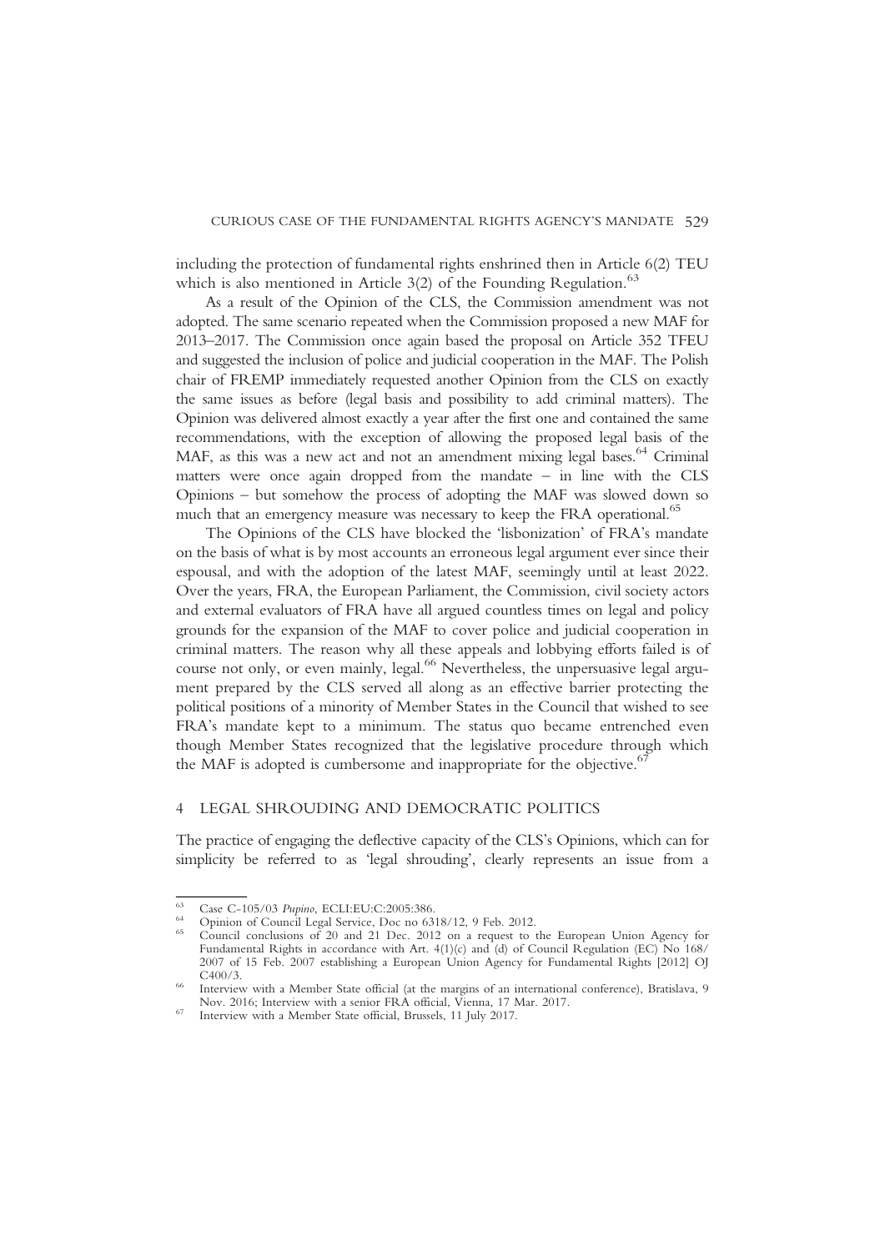including the protection of fundamental rights enshrined then in Article 6(2) TEU which is also mentioned in Article  $3(2)$  of the Founding Regulation.<sup>63</sup>

As a result of the Opinion of the CLS, the Commission amendment was not adopted. The same scenario repeated when the Commission proposed a new MAF for 2013–2017. The Commission once again based the proposal on Article 352 TFEU and suggested the inclusion of police and judicial cooperation in the MAF. The Polish chair of FREMP immediately requested another Opinion from the CLS on exactly the same issues as before (legal basis and possibility to add criminal matters). The Opinion was delivered almost exactly a year after the first one and contained the same recommendations, with the exception of allowing the proposed legal basis of the MAF, as this was a new act and not an amendment mixing legal bases.<sup>64</sup> Criminal matters were once again dropped from the mandate – in line with the CLS Opinions – but somehow the process of adopting the MAF was slowed down so much that an emergency measure was necessary to keep the FRA operational.<sup>65</sup>

The Opinions of the CLS have blocked the 'lisbonization' of FRA's mandate on the basis of what is by most accounts an erroneous legal argument ever since their espousal, and with the adoption of the latest MAF, seemingly until at least 2022. Over the years, FRA, the European Parliament, the Commission, civil society actors and external evaluators of FRA have all argued countless times on legal and policy grounds for the expansion of the MAF to cover police and judicial cooperation in criminal matters. The reason why all these appeals and lobbying efforts failed is of course not only, or even mainly, legal.<sup>66</sup> Nevertheless, the unpersuasive legal argument prepared by the CLS served all along as an effective barrier protecting the political positions of a minority of Member States in the Council that wished to see FRA's mandate kept to a minimum. The status quo became entrenched even though Member States recognized that the legislative procedure through which the MAF is adopted is cumbersome and inappropriate for the objective.<sup>67</sup>

### 4 LEGAL SHROUDING AND DEMOCRATIC POLITICS

The practice of engaging the deflective capacity of the CLS's Opinions, which can for simplicity be referred to as 'legal shrouding', clearly represents an issue from a

For Case C-105/03 Pupino, ECLI:EU:C:2005:386.<br>  $^{64}$  Opinion of Council Legal Service, Doc no 6318/12, 9 Feb. 2012.<br>  $^{65}$  Council conclusions of 20 and 21 Dec. 2012 on a request to the European Union Agency for Fundamental Rights in accordance with Art. 4(1)(c) and (d) of Council Regulation (EC) No 168/ 2007 of 15 Feb. 2007 establishing a European Union Agency for Fundamental Rights [2012] OJ C400/3.

<sup>&</sup>lt;sup>66</sup> Interview with a Member State official (at the margins of an international conference), Bratislava, 9<br>Nov. 2016; Interview with a senior FRA official, Vienna, 17 Mar. 2017.

 $67$  Interview with a Member State official, Brussels, 11 July 2017.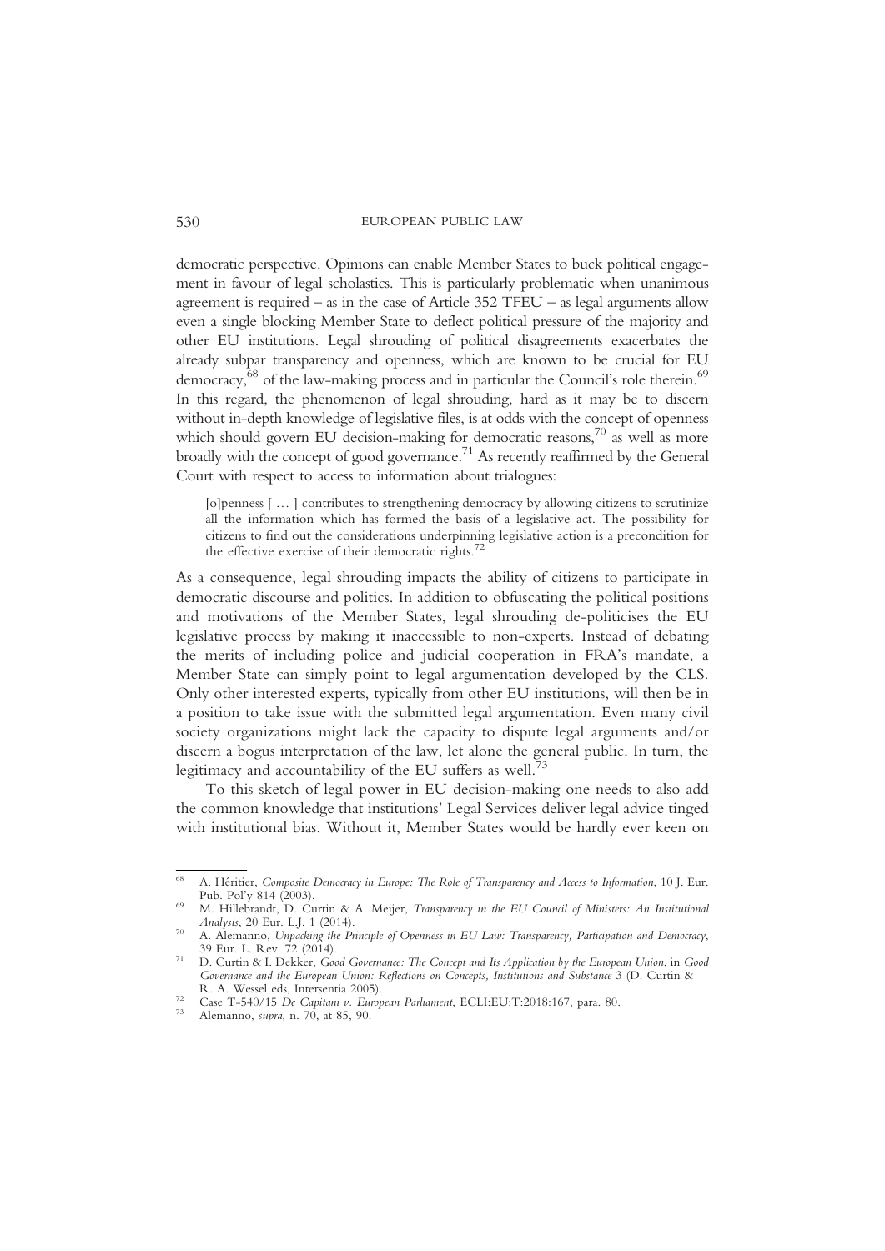democratic perspective. Opinions can enable Member States to buck political engagement in favour of legal scholastics. This is particularly problematic when unanimous agreement is required – as in the case of Article 352 TFEU – as legal arguments allow even a single blocking Member State to deflect political pressure of the majority and other EU institutions. Legal shrouding of political disagreements exacerbates the already subpar transparency and openness, which are known to be crucial for EU democracy,<sup>68</sup> of the law-making process and in particular the Council's role therein.<sup>69</sup> In this regard, the phenomenon of legal shrouding, hard as it may be to discern without in-depth knowledge of legislative files, is at odds with the concept of openness which should govern EU decision-making for democratic reasons, $70$  as well as more broadly with the concept of good governance.<sup>71</sup> As recently reaffirmed by the General Court with respect to access to information about trialogues:

[o]penness [ … ] contributes to strengthening democracy by allowing citizens to scrutinize all the information which has formed the basis of a legislative act. The possibility for citizens to find out the considerations underpinning legislative action is a precondition for the effective exercise of their democratic rights.<sup>72</sup>

As a consequence, legal shrouding impacts the ability of citizens to participate in democratic discourse and politics. In addition to obfuscating the political positions and motivations of the Member States, legal shrouding de-politicises the EU legislative process by making it inaccessible to non-experts. Instead of debating the merits of including police and judicial cooperation in FRA's mandate, a Member State can simply point to legal argumentation developed by the CLS. Only other interested experts, typically from other EU institutions, will then be in a position to take issue with the submitted legal argumentation. Even many civil society organizations might lack the capacity to dispute legal arguments and/or discern a bogus interpretation of the law, let alone the general public. In turn, the legitimacy and accountability of the EU suffers as well.<sup>73</sup>

To this sketch of legal power in EU decision-making one needs to also add the common knowledge that institutions' Legal Services deliver legal advice tinged with institutional bias. Without it, Member States would be hardly ever keen on

<sup>&</sup>lt;sup>68</sup> A. Héritier, Composite Democracy in Europe: The Role of Transparency and Access to Information, 10 J. Eur.<br>Pub. Pol'y 814 (2003).

<sup>&</sup>lt;sup>69</sup> M. Hillebrandt, D. Curtin & A. Meijer, *Transparency in the EU Council of Ministers: An Institutional Analysis*, 20 Eur. L.J. 1 (2014).

<sup>&</sup>lt;sup>70</sup> A. Alemanno, Unpacking the Principle of Openness in EU Law: Transparency, Participation and Democracy, 39 Eur. L. Rev. 72 (2014).

<sup>&</sup>lt;sup>71</sup> D. Curtin & I. Dekker, Good Governance: The Concept and Its Application by the European Union, in Good Governance and the European Union: Reflections on Concepts, Institutions and Substance 3 (D. Curtin & R. A. Wessel eds, Intersentia 2005).

<sup>&</sup>lt;sup>72</sup> Case T-540/15 De Capitani v. European Parliament, ECLI:EU:T:2018:167, para. 80. Alemanno, supra, n. 70, at 85, 90.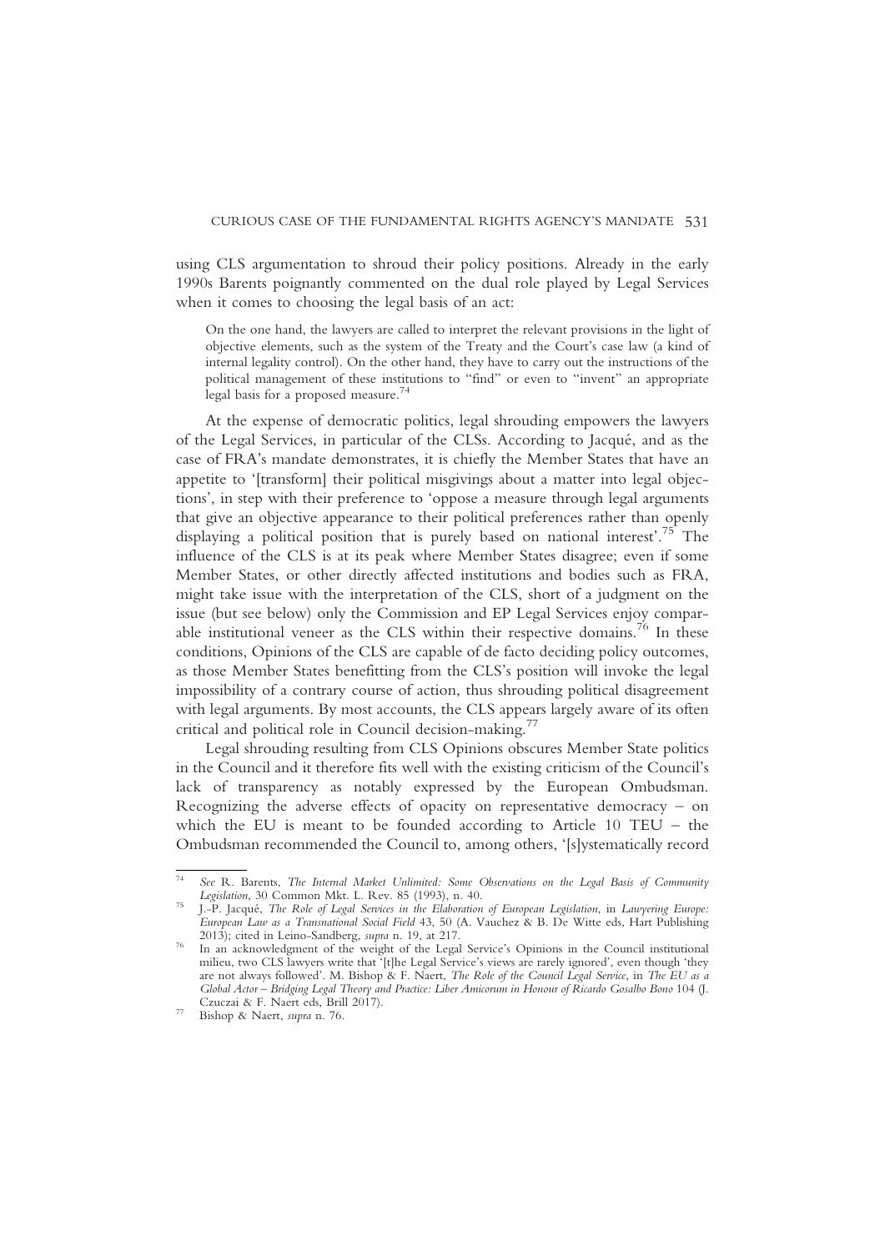using CLS argumentation to shroud their policy positions. Already in the early 1990s Barents poignantly commented on the dual role played by Legal Services when it comes to choosing the legal basis of an act:

On the one hand, the lawyers are called to interpret the relevant provisions in the light of objective elements, such as the system of the Treaty and the Court's case law (a kind of internal legality control). On the other hand, they have to carry out the instructions of the political management of these institutions to "find" or even to "invent" an appropriate legal basis for a proposed measure.<sup>74</sup>

At the expense of democratic politics, legal shrouding empowers the lawyers of the Legal Services, in particular of the CLSs. According to Jacqué, and as the case of FRA's mandate demonstrates, it is chiefly the Member States that have an appetite to '[transform] their political misgivings about a matter into legal objections', in step with their preference to 'oppose a measure through legal arguments that give an objective appearance to their political preferences rather than openly displaying a political position that is purely based on national interest'. <sup>75</sup> The influence of the CLS is at its peak where Member States disagree; even if some Member States, or other directly affected institutions and bodies such as FRA, might take issue with the interpretation of the CLS, short of a judgment on the issue (but see below) only the Commission and EP Legal Services enjoy comparable institutional veneer as the CLS within their respective domains.<sup>76</sup> In these conditions, Opinions of the CLS are capable of de facto deciding policy outcomes, as those Member States benefitting from the CLS's position will invoke the legal impossibility of a contrary course of action, thus shrouding political disagreement with legal arguments. By most accounts, the CLS appears largely aware of its often critical and political role in Council decision-making.<sup>77</sup>

Legal shrouding resulting from CLS Opinions obscures Member State politics in the Council and it therefore fits well with the existing criticism of the Council's lack of transparency as notably expressed by the European Ombudsman. Recognizing the adverse effects of opacity on representative democracy  $-$  on which the EU is meant to be founded according to Article 10 TEU – the Ombudsman recommended the Council to, among others, '[s]ystematically record

<sup>74</sup> See R. Barents, The Internal Market Unlimited: Some Observations on the Legal Basis of Community

J.-P. Jacqué, The Role of Legal Services in the Elaboration of European Legislation, in Lawyering Europe: European Law as a Transnational Social Field 43, 50 (A. Vauchez & B. De Witte eds, Hart Publishing 2013); cited in Leino-Sandberg, supra n. 19, at 217.

<sup>&</sup>lt;sup>76</sup> In an acknowledgment of the weight of the Legal Service's Opinions in the Council institutional milieu, two CLS lawyers write that '[t]he Legal Service's views are rarely ignored', even though 'they are not always followed'. M. Bishop & F. Naert, The Role of the Council Legal Service, in The EU as a Global Actor – Bridging Legal Theory and Practice: Liber Amicorum in Honour of Ricardo Gosalbo Bono 104 (J.<br>Czuczai & F. Naert eds, Brill 2017).

<sup>&</sup>lt;sup>77</sup> Bishop & Naert, supra n. 76.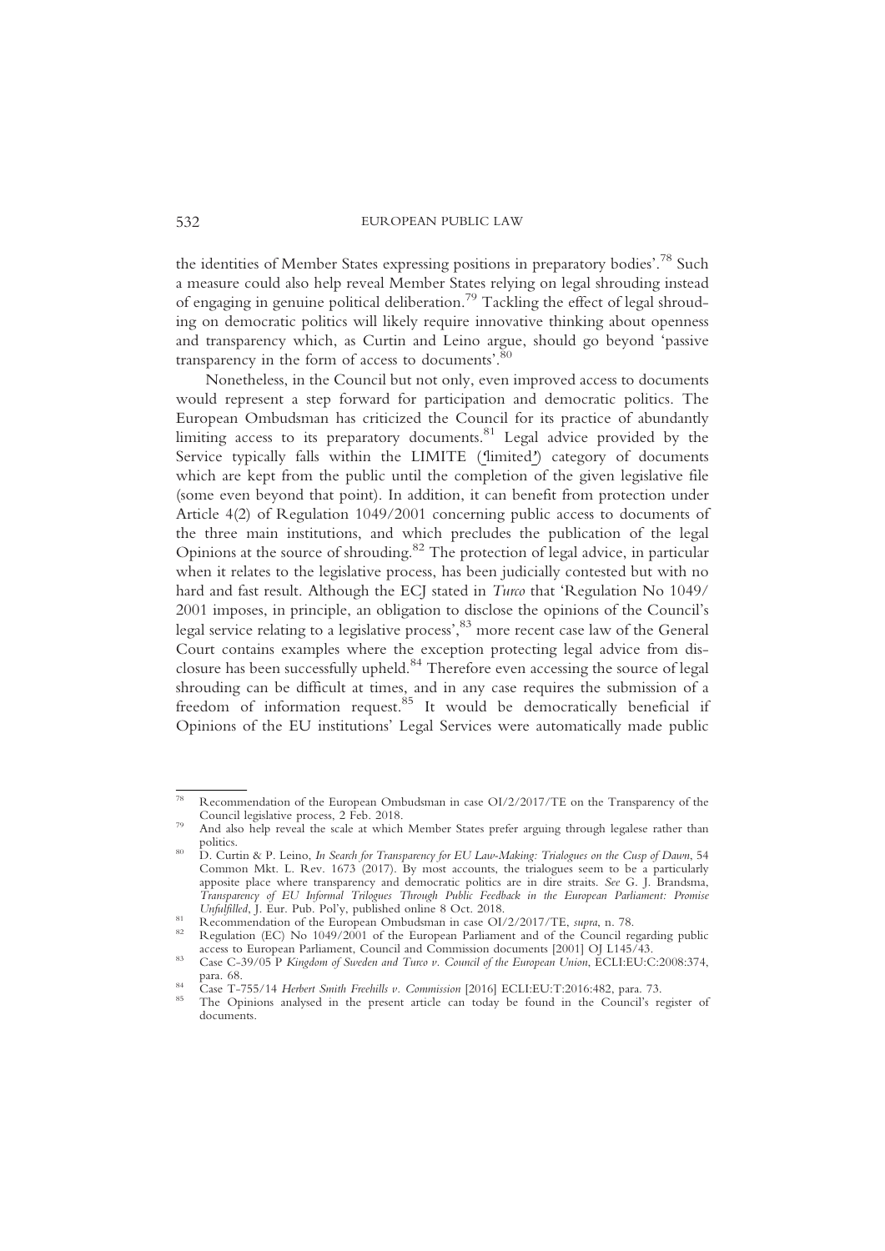the identities of Member States expressing positions in preparatory bodies'.<sup>78</sup> Such a measure could also help reveal Member States relying on legal shrouding instead of engaging in genuine political deliberation.79 Tackling the effect of legal shrouding on democratic politics will likely require innovative thinking about openness and transparency which, as Curtin and Leino argue, should go beyond 'passive transparency in the form of access to documents'.<sup>80</sup>

Nonetheless, in the Council but not only, even improved access to documents would represent a step forward for participation and democratic politics. The European Ombudsman has criticized the Council for its practice of abundantly limiting access to its preparatory documents.<sup>81</sup> Legal advice provided by the Service typically falls within the LIMITE ('limited') category of documents which are kept from the public until the completion of the given legislative file (some even beyond that point). In addition, it can benefit from protection under Article 4(2) of Regulation 1049/2001 concerning public access to documents of the three main institutions, and which precludes the publication of the legal Opinions at the source of shrouding.82 The protection of legal advice, in particular when it relates to the legislative process, has been judicially contested but with no hard and fast result. Although the ECJ stated in Turco that 'Regulation No 1049/ 2001 imposes, in principle, an obligation to disclose the opinions of the Council's legal service relating to a legislative process', <sup>83</sup> more recent case law of the General Court contains examples where the exception protecting legal advice from disclosure has been successfully upheld.84 Therefore even accessing the source of legal shrouding can be difficult at times, and in any case requires the submission of a freedom of information request. $85$  It would be democratically beneficial if Opinions of the EU institutions' Legal Services were automatically made public

<sup>78</sup> Recommendation of the European Ombudsman in case OI/2/2017/TE on the Transparency of the

<sup>&</sup>lt;sup>79</sup> And also help reveal the scale at which Member States prefer arguing through legalese rather than

politics.<br><sup>80</sup> D. Curtin & P. Leino, *In Search for Transparency for EU Law-Making: Trialogues on the Cusp of Dawn*, 54 Common Mkt. L. Rev. 1673 (2017). By most accounts, the trialogues seem to be a particularly apposite place where transparency and democratic politics are in dire straits. See G. J. Brandsma, Transparency of EU Informal Trilogues Through Public Feedback in the European Parliament: Promise

<sup>&</sup>lt;sup>81</sup> Recommendation of the European Ombudsman in case OI/2/2017/TE, *supra*, n. 78.<br><sup>82</sup> Regulation (EC) No 1049/2001 of the European Parliament and of the Council regarding public access to European Parliament, Council an

as Case C-39/05 P Kingdom of Sweden and Turco v. Council of the European Union, ECLI:EU:C:2008:374, para. 68.

<sup>&</sup>lt;sup>84</sup> Case T-755/14 Herbert Smith Freehills v. Commission [2016] ECLI:EU:T:2016:482, para. 73.<br><sup>85</sup> The Opinions analysed in the present article can today be found in the Council's register of documents.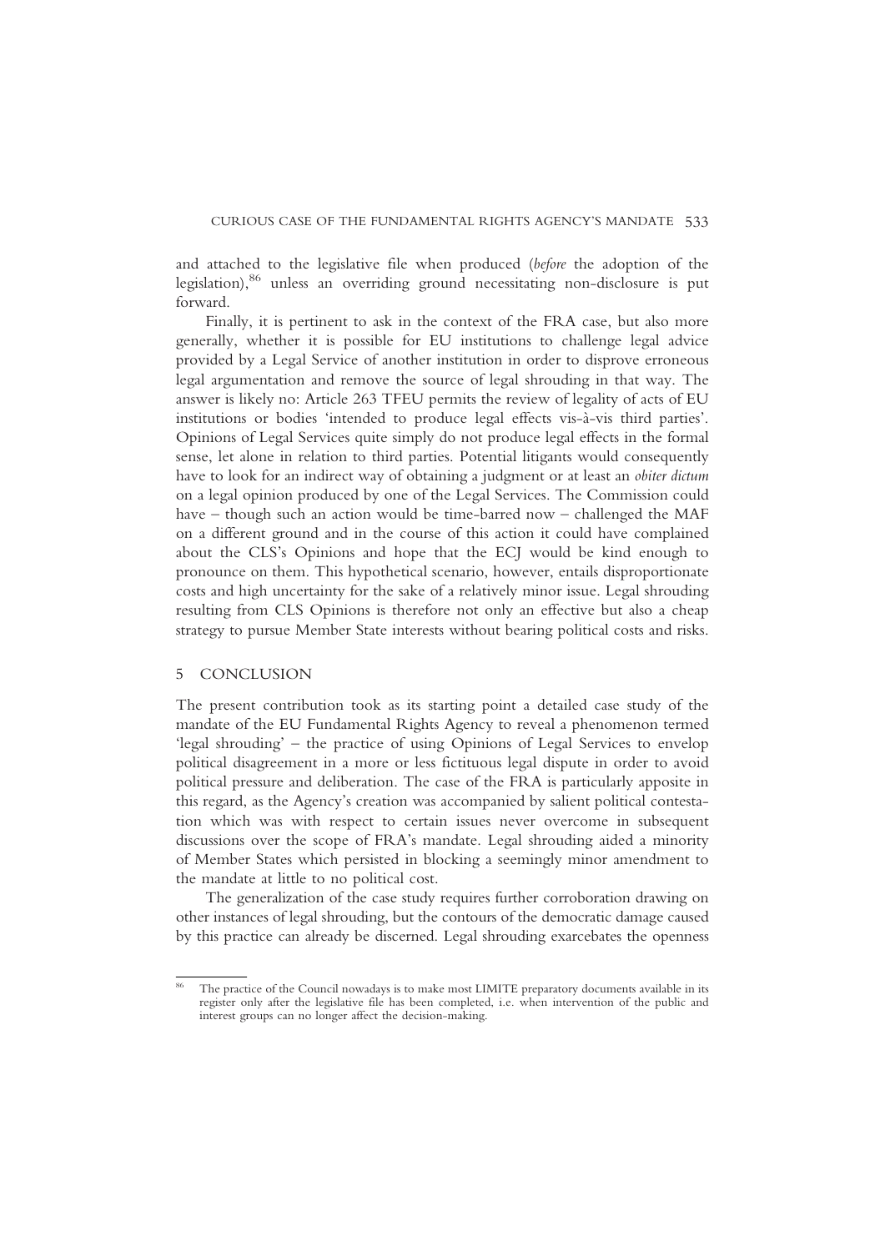and attached to the legislative file when produced (before the adoption of the legislation),<sup>86</sup> unless an overriding ground necessitating non-disclosure is put forward.

Finally, it is pertinent to ask in the context of the FRA case, but also more generally, whether it is possible for EU institutions to challenge legal advice provided by a Legal Service of another institution in order to disprove erroneous legal argumentation and remove the source of legal shrouding in that way. The answer is likely no: Article 263 TFEU permits the review of legality of acts of EU institutions or bodies 'intended to produce legal effects vis-à-vis third parties'. Opinions of Legal Services quite simply do not produce legal effects in the formal sense, let alone in relation to third parties. Potential litigants would consequently have to look for an indirect way of obtaining a judgment or at least an obiter dictum on a legal opinion produced by one of the Legal Services. The Commission could have – though such an action would be time-barred now – challenged the MAF on a different ground and in the course of this action it could have complained about the CLS's Opinions and hope that the ECJ would be kind enough to pronounce on them. This hypothetical scenario, however, entails disproportionate costs and high uncertainty for the sake of a relatively minor issue. Legal shrouding resulting from CLS Opinions is therefore not only an effective but also a cheap strategy to pursue Member State interests without bearing political costs and risks.

#### 5 CONCLUSION

The present contribution took as its starting point a detailed case study of the mandate of the EU Fundamental Rights Agency to reveal a phenomenon termed 'legal shrouding' – the practice of using Opinions of Legal Services to envelop political disagreement in a more or less fictituous legal dispute in order to avoid political pressure and deliberation. The case of the FRA is particularly apposite in this regard, as the Agency's creation was accompanied by salient political contestation which was with respect to certain issues never overcome in subsequent discussions over the scope of FRA's mandate. Legal shrouding aided a minority of Member States which persisted in blocking a seemingly minor amendment to the mandate at little to no political cost.

The generalization of the case study requires further corroboration drawing on other instances of legal shrouding, but the contours of the democratic damage caused by this practice can already be discerned. Legal shrouding exarcebates the openness

<sup>&</sup>lt;sup>86</sup> The practice of the Council nowadays is to make most LIMITE preparatory documents available in its register only after the legislative file has been completed, i.e. when intervention of the public and interest groups can no longer affect the decision-making.